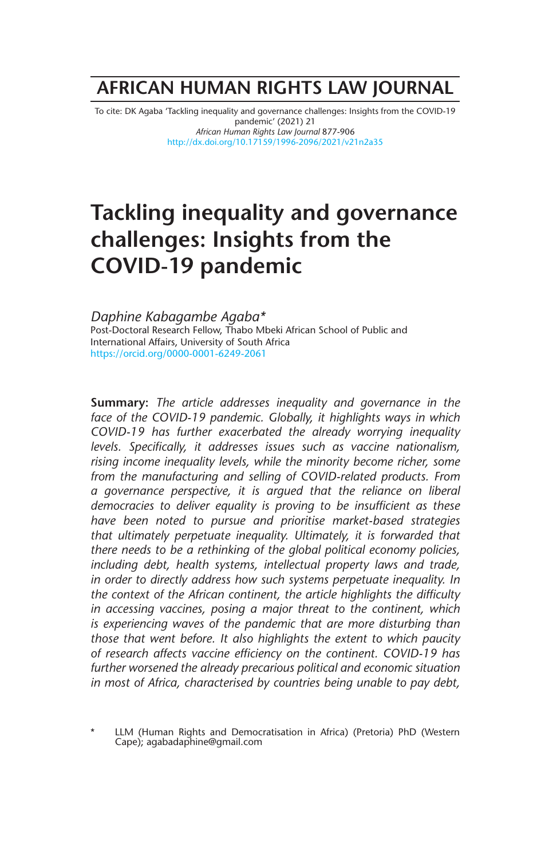# **AFRICAN HUMAN RIGHTS LAW JOURNAL**

To cite: DK Agaba 'Tackling inequality and governance challenges: Insights from the COVID-19 pandemic' (2021) 21 *African Human Rights Law Journal* 877-906 http://dx.doi.org/10.17159/1996-2096/2021/v21n2a35

# **Tackling inequality and governance challenges: Insights from the COVID-19 pandemic**

*Daphine Kabagambe Agaba\** Post-Doctoral Research Fellow, Thabo Mbeki African School of Public and International Affairs, University of South Africa https://orcid.org/0000-0001-6249-2061

**Summary:** *The article addresses inequality and governance in the face of the COVID-19 pandemic. Globally, it highlights ways in which COVID-19 has further exacerbated the already worrying inequality levels. Specifically, it addresses issues such as vaccine nationalism, rising income inequality levels, while the minority become richer, some from the manufacturing and selling of COVID-related products. From a governance perspective, it is argued that the reliance on liberal democracies to deliver equality is proving to be insufficient as these have been noted to pursue and prioritise market-based strategies that ultimately perpetuate inequality. Ultimately, it is forwarded that there needs to be a rethinking of the global political economy policies, including debt, health systems, intellectual property laws and trade, in order to directly address how such systems perpetuate inequality. In the context of the African continent, the article highlights the difficulty in accessing vaccines, posing a major threat to the continent, which is experiencing waves of the pandemic that are more disturbing than those that went before. It also highlights the extent to which paucity of research affects vaccine efficiency on the continent. COVID-19 has further worsened the already precarious political and economic situation in most of Africa, characterised by countries being unable to pay debt,* 

LLM (Human Rights and Democratisation in Africa) (Pretoria) PhD (Western Cape); agabadaphine@gmail.com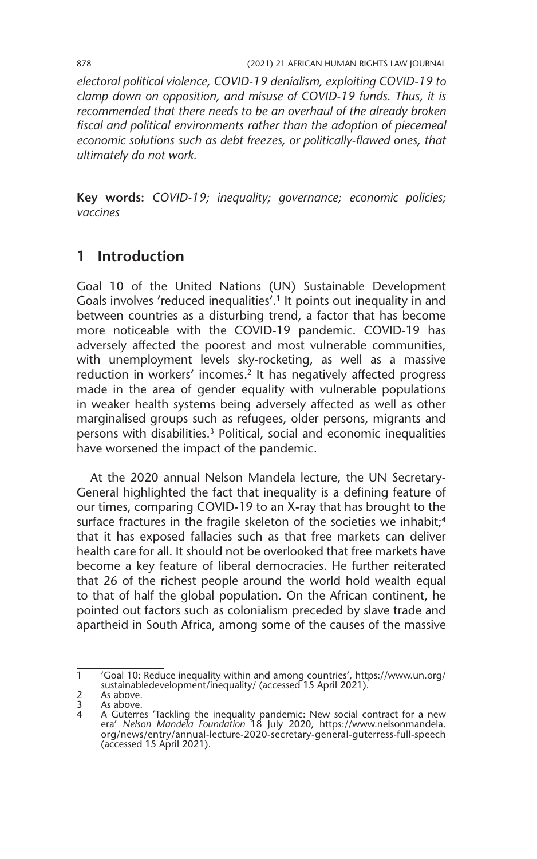*electoral political violence, COVID-19 denialism, exploiting COVID-19 to clamp down on opposition, and misuse of COVID-19 funds. Thus, it is recommended that there needs to be an overhaul of the already broken fiscal and political environments rather than the adoption of piecemeal economic solutions such as debt freezes, or politically-flawed ones, that ultimately do not work.* 

**Key words:** *COVID-19; inequality; governance; economic policies; vaccines* 

# **1 Introduction**

Goal 10 of the United Nations (UN) Sustainable Development Goals involves 'reduced inequalities'.<sup>1</sup> It points out inequality in and between countries as a disturbing trend, a factor that has become more noticeable with the COVID-19 pandemic. COVID-19 has adversely affected the poorest and most vulnerable communities, with unemployment levels sky-rocketing, as well as a massive reduction in workers' incomes.<sup>2</sup> It has negatively affected progress made in the area of gender equality with vulnerable populations in weaker health systems being adversely affected as well as other marginalised groups such as refugees, older persons, migrants and persons with disabilities.3 Political, social and economic inequalities have worsened the impact of the pandemic.

At the 2020 annual Nelson Mandela lecture, the UN Secretary-General highlighted the fact that inequality is a defining feature of our times, comparing COVID-19 to an X-ray that has brought to the surface fractures in the fragile skeleton of the societies we inhabit;<sup>4</sup> that it has exposed fallacies such as that free markets can deliver health care for all. It should not be overlooked that free markets have become a key feature of liberal democracies. He further reiterated that 26 of the richest people around the world hold wealth equal to that of half the global population. On the African continent, he pointed out factors such as colonialism preceded by slave trade and apartheid in South Africa, among some of the causes of the massive

<sup>1</sup> 'Goal 10: Reduce inequality within and among countries', https://www.un.org/ sustainabledevelopment/inequality/ (accessed 15 April 2021).

<sup>2</sup> As above.<br>3 As above.

As above.

<sup>4</sup> A Guterres 'Tackling the inequality pandemic: New social contract for a new era' *Nelson Mandela Foundation* 18 July 2020, https://www.nelsonmandela. org/news/entry/annual-lecture-2020-secretary-general-guterress-full-speech (accessed 15 April 2021).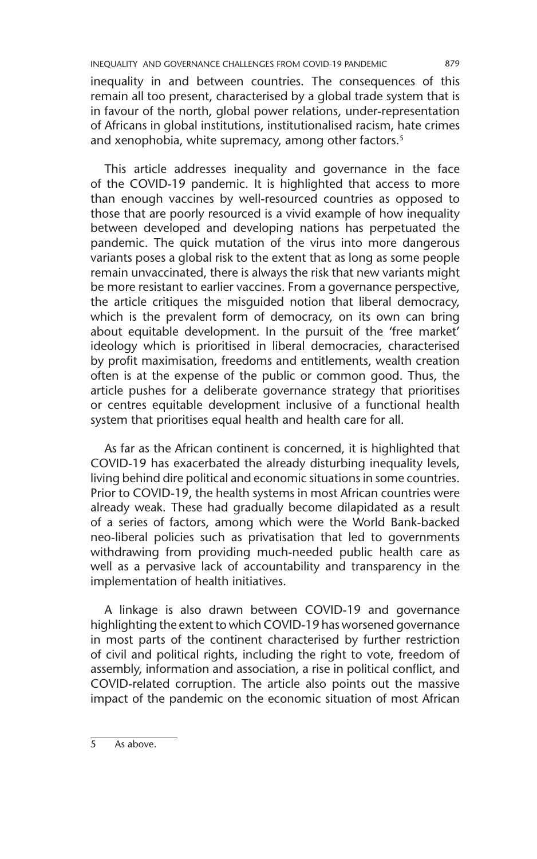inequality in and between countries. The consequences of this remain all too present, characterised by a global trade system that is in favour of the north, global power relations, under-representation of Africans in global institutions, institutionalised racism, hate crimes and xenophobia, white supremacy, among other factors.<sup>5</sup>

This article addresses inequality and governance in the face of the COVID-19 pandemic. It is highlighted that access to more than enough vaccines by well-resourced countries as opposed to those that are poorly resourced is a vivid example of how inequality between developed and developing nations has perpetuated the pandemic. The quick mutation of the virus into more dangerous variants poses a global risk to the extent that as long as some people remain unvaccinated, there is always the risk that new variants might be more resistant to earlier vaccines. From a governance perspective, the article critiques the misguided notion that liberal democracy, which is the prevalent form of democracy, on its own can bring about equitable development. In the pursuit of the 'free market' ideology which is prioritised in liberal democracies, characterised by profit maximisation, freedoms and entitlements, wealth creation often is at the expense of the public or common good. Thus, the article pushes for a deliberate governance strategy that prioritises or centres equitable development inclusive of a functional health system that prioritises equal health and health care for all.

As far as the African continent is concerned, it is highlighted that COVID-19 has exacerbated the already disturbing inequality levels, living behind dire political and economic situations in some countries. Prior to COVID-19, the health systems in most African countries were already weak. These had gradually become dilapidated as a result of a series of factors, among which were the World Bank-backed neo-liberal policies such as privatisation that led to governments withdrawing from providing much-needed public health care as well as a pervasive lack of accountability and transparency in the implementation of health initiatives.

A linkage is also drawn between COVID-19 and governance highlighting the extent to which COVID-19 has worsened governance in most parts of the continent characterised by further restriction of civil and political rights, including the right to vote, freedom of assembly, information and association, a rise in political conflict, and COVID-related corruption. The article also points out the massive impact of the pandemic on the economic situation of most African

5 As above.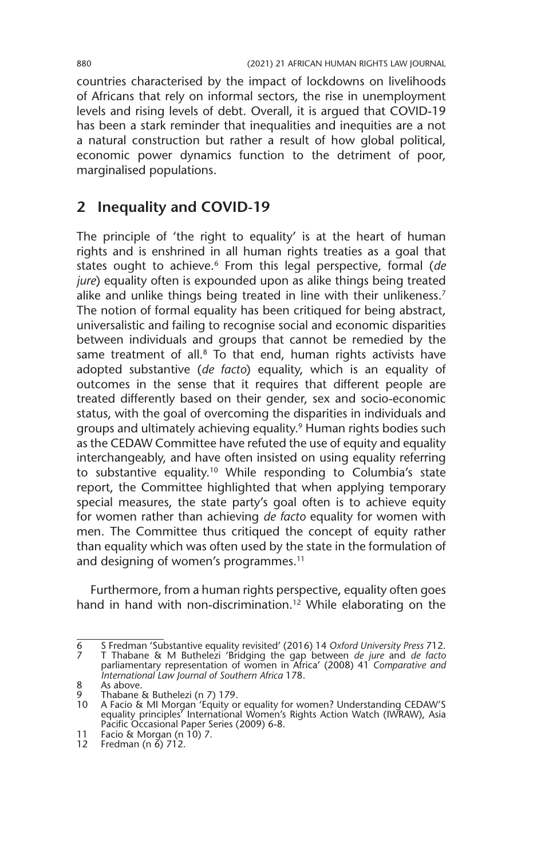countries characterised by the impact of lockdowns on livelihoods of Africans that rely on informal sectors, the rise in unemployment levels and rising levels of debt. Overall, it is argued that COVID-19 has been a stark reminder that inequalities and inequities are a not a natural construction but rather a result of how global political, economic power dynamics function to the detriment of poor, marginalised populations.

## **2 Inequality and COVID-19**

The principle of 'the right to equality' is at the heart of human rights and is enshrined in all human rights treaties as a goal that states ought to achieve.6 From this legal perspective, formal (*de jure*) equality often is expounded upon as alike things being treated alike and unlike things being treated in line with their unlikeness.<sup>7</sup> The notion of formal equality has been critiqued for being abstract, universalistic and failing to recognise social and economic disparities between individuals and groups that cannot be remedied by the same treatment of all.<sup>8</sup> To that end, human rights activists have adopted substantive (*de facto*) equality, which is an equality of outcomes in the sense that it requires that different people are treated differently based on their gender, sex and socio-economic status, with the goal of overcoming the disparities in individuals and groups and ultimately achieving equality.9 Human rights bodies such as the CEDAW Committee have refuted the use of equity and equality interchangeably, and have often insisted on using equality referring to substantive equality.10 While responding to Columbia's state report, the Committee highlighted that when applying temporary special measures, the state party's goal often is to achieve equity for women rather than achieving *de facto* equality for women with men. The Committee thus critiqued the concept of equity rather than equality which was often used by the state in the formulation of and designing of women's programmes.<sup>11</sup>

Furthermore, from a human rights perspective, equality often goes hand in hand with non-discrimination.<sup>12</sup> While elaborating on the

<sup>6</sup> S Fredman 'Substantive equality revisited' (2016) 14 *Oxford University Press* 712. 7 T Thabane & M Buthelezi 'Bridging the gap between *de jure* and *de facto* parliamentary representation of women in Africa' (2008) 41 *Comparative and International Law Journal of Southern Africa* 178.

<sup>8</sup> As above.

<sup>9</sup> Thabane & Buthelezi (n 7) 179. 10 A Facio & MI Morgan 'Equity or equality for women? Understanding CEDAW'S equality principles' International Women's Rights Action Watch (IWRAW), Asia Pacific Occasional Paper Series (2009) 6-8.

<sup>11</sup> Facio & Morgan (n 10) 7. 11 Facio & Morgan (n<br>12 Fredman (n 6) 712.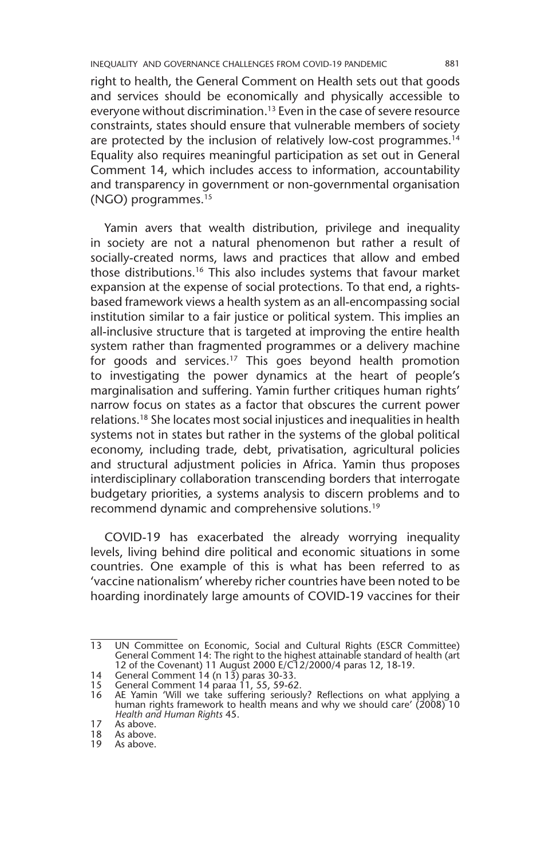right to health, the General Comment on Health sets out that goods and services should be economically and physically accessible to everyone without discrimination.<sup>13</sup> Even in the case of severe resource constraints, states should ensure that vulnerable members of society are protected by the inclusion of relatively low-cost programmes.<sup>14</sup> Equality also requires meaningful participation as set out in General Comment 14, which includes access to information, accountability and transparency in government or non-governmental organisation (NGO) programmes.15

Yamin avers that wealth distribution, privilege and inequality in society are not a natural phenomenon but rather a result of socially-created norms, laws and practices that allow and embed those distributions.16 This also includes systems that favour market expansion at the expense of social protections. To that end, a rightsbased framework views a health system as an all-encompassing social institution similar to a fair justice or political system. This implies an all-inclusive structure that is targeted at improving the entire health system rather than fragmented programmes or a delivery machine for goods and services.17 This goes beyond health promotion to investigating the power dynamics at the heart of people's marginalisation and suffering. Yamin further critiques human rights' narrow focus on states as a factor that obscures the current power relations.18 She locates most social injustices and inequalities in health systems not in states but rather in the systems of the global political economy, including trade, debt, privatisation, agricultural policies and structural adjustment policies in Africa. Yamin thus proposes interdisciplinary collaboration transcending borders that interrogate budgetary priorities, a systems analysis to discern problems and to recommend dynamic and comprehensive solutions.19

COVID-19 has exacerbated the already worrying inequality levels, living behind dire political and economic situations in some countries. One example of this is what has been referred to as 'vaccine nationalism' whereby richer countries have been noted to be hoarding inordinately large amounts of COVID-19 vaccines for their

<sup>13</sup> UN Committee on Economic, Social and Cultural Rights (ESCR Committee) General Comment 14: The right to the highest attainable standard of health (art 12 of the Covenant) 11 August 2000 E/C12/2000/4 paras 12, 18-19.

<sup>14</sup> General Comment 14 (n 13) paras 30-33.

<sup>15</sup> General Comment 14 paraa 11, 55, 59-62.

<sup>16</sup> AE Yamin 'Will we take suffering seriously? Reflections on what applying a human rights framework to health means and why we should care' (2008) 10 *Health and Human Rights* 45.

<sup>17</sup> As above.<br>18 As above.

<sup>18</sup> As above.<br>19 As above.

As above.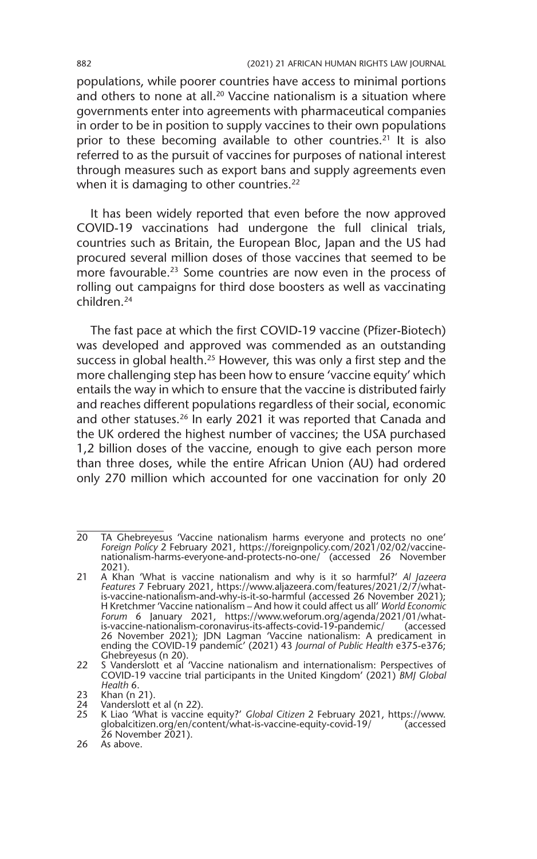populations, while poorer countries have access to minimal portions and others to none at all.<sup>20</sup> Vaccine nationalism is a situation where governments enter into agreements with pharmaceutical companies in order to be in position to supply vaccines to their own populations prior to these becoming available to other countries.<sup>21</sup> It is also referred to as the pursuit of vaccines for purposes of national interest through measures such as export bans and supply agreements even when it is damaging to other countries.<sup>22</sup>

It has been widely reported that even before the now approved COVID-19 vaccinations had undergone the full clinical trials, countries such as Britain, the European Bloc, Japan and the US had procured several million doses of those vaccines that seemed to be more favourable.<sup>23</sup> Some countries are now even in the process of rolling out campaigns for third dose boosters as well as vaccinating children<sup>24</sup>

The fast pace at which the first COVID-19 vaccine (Pfizer-Biotech) was developed and approved was commended as an outstanding success in global health.<sup>25</sup> However, this was only a first step and the more challenging step has been how to ensure 'vaccine equity' which entails the way in which to ensure that the vaccine is distributed fairly and reaches different populations regardless of their social, economic and other statuses.<sup>26</sup> In early 2021 it was reported that Canada and the UK ordered the highest number of vaccines; the USA purchased 1,2 billion doses of the vaccine, enough to give each person more than three doses, while the entire African Union (AU) had ordered only 270 million which accounted for one vaccination for only 20

<sup>20</sup> TA Ghebreyesus 'Vaccine nationalism harms everyone and protects no one' *Foreign Policy* 2 February 2021, https://foreignpolicy.com/2021/02/02/vaccinenationalism-harms-everyone-and-protects-no-one/ (accessed 26 November 2021).

<sup>21</sup> A Khan 'What is vaccine nationalism and why is it so harmful?' *Al Jazeera Features* 7 February 2021, https://www.aljazeera.com/features/2021/2/7/whatis-vaccine-nationalism-and-why-is-it-so-harmful (accessed 26 November 2021); H Kretchmer 'Vaccine nationalism – And how it could affect us all' *World Economic Forum* 6 January 2021, https://www.weforum.org/agenda/2021/01/whatis-vaccine-nationalism-coronavirus-its-affects-covid-19-pandemic/ (accessed 26 November 2021); JDN Lagman 'Vaccine nationalism: A predicament in ending the COVID-19 pandemic' (2021) 43 *Journal of Public Health* e375-e376; Ghebreyesus (n 20).

<sup>22</sup> S Vanderslott et al 'Vaccine nationalism and internationalism: Perspectives of COVID-19 vaccine trial participants in the United Kingdom' (2021) *BMJ Global Health* 6.

<sup>23</sup> Khan (n 21).<br>24 Vanderslott e

 $\overline{24}$  Vanderslott et al (n 22).<br>25 K Liao 'What is vaccine

<sup>25</sup> K Liao 'What is vaccine equity?' *Global Citizen* 2 February 2021, https://www. globalcitizen.org/en/content/what-is-vaccine-equity-covid-19/ (accessed 26 November 2021).

<sup>26</sup> As above.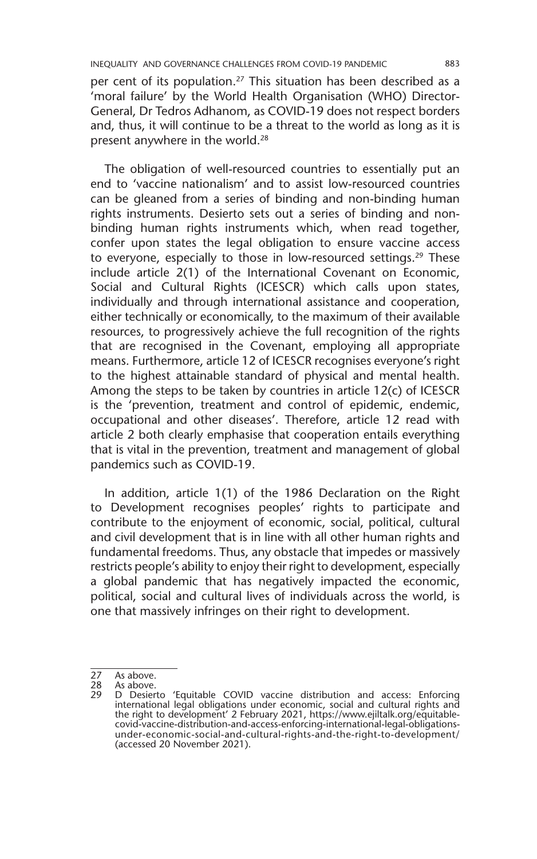per cent of its population.<sup>27</sup> This situation has been described as a 'moral failure' by the World Health Organisation (WHO) Director-General, Dr Tedros Adhanom, as COVID-19 does not respect borders and, thus, it will continue to be a threat to the world as long as it is present anywhere in the world.<sup>28</sup>

The obligation of well-resourced countries to essentially put an end to 'vaccine nationalism' and to assist low-resourced countries can be gleaned from a series of binding and non-binding human rights instruments. Desierto sets out a series of binding and nonbinding human rights instruments which, when read together, confer upon states the legal obligation to ensure vaccine access to everyone, especially to those in low-resourced settings.<sup>29</sup> These include article 2(1) of the International Covenant on Economic, Social and Cultural Rights (ICESCR) which calls upon states, individually and through international assistance and cooperation, either technically or economically, to the maximum of their available resources, to progressively achieve the full recognition of the rights that are recognised in the Covenant, employing all appropriate means. Furthermore, article 12 of ICESCR recognises everyone's right to the highest attainable standard of physical and mental health. Among the steps to be taken by countries in article 12(c) of ICESCR is the 'prevention, treatment and control of epidemic, endemic, occupational and other diseases'. Therefore, article 12 read with article 2 both clearly emphasise that cooperation entails everything that is vital in the prevention, treatment and management of global pandemics such as COVID-19.

In addition, article 1(1) of the 1986 Declaration on the Right to Development recognises peoples' rights to participate and contribute to the enjoyment of economic, social, political, cultural and civil development that is in line with all other human rights and fundamental freedoms. Thus, any obstacle that impedes or massively restricts people's ability to enjoy their right to development, especially a global pandemic that has negatively impacted the economic, political, social and cultural lives of individuals across the world, is one that massively infringes on their right to development.

27 As above.<br>28 As above.

<sup>28</sup> As above.<br>29 D Desier

<sup>29</sup> D Desierto 'Equitable COVID vaccine distribution and access: Enforcing<br>international legal obligations under economic, social and cultural rights and<br>the right to development' 2 February 2021, https://www.ejiltalk.org/e covid-vaccine-distribution-and-access-enforcing-international-legal-obligationsunder-economic-social-and-cultural-rights-and-the-right-to-development/ (accessed 20 November 2021).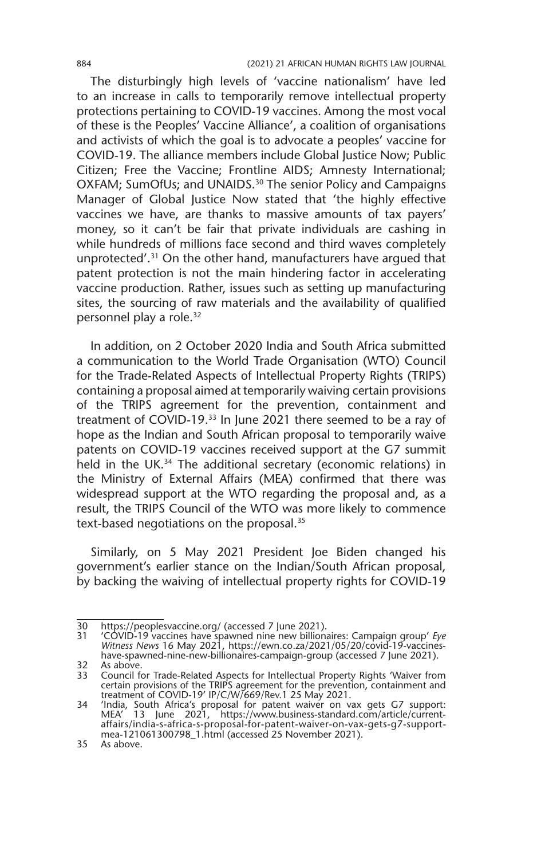The disturbingly high levels of 'vaccine nationalism' have led to an increase in calls to temporarily remove intellectual property protections pertaining to COVID-19 vaccines. Among the most vocal of these is the Peoples' Vaccine Alliance', a coalition of organisations and activists of which the goal is to advocate a peoples' vaccine for COVID-19. The alliance members include Global Justice Now; Public Citizen; Free the Vaccine; Frontline AIDS; Amnesty International; OXFAM; SumOfUs; and UNAIDS.30 The senior Policy and Campaigns Manager of Global Justice Now stated that 'the highly effective vaccines we have, are thanks to massive amounts of tax payers' money, so it can't be fair that private individuals are cashing in while hundreds of millions face second and third waves completely unprotected'.31 On the other hand, manufacturers have argued that patent protection is not the main hindering factor in accelerating vaccine production. Rather, issues such as setting up manufacturing sites, the sourcing of raw materials and the availability of qualified personnel play a role.32

In addition, on 2 October 2020 India and South Africa submitted a communication to the World Trade Organisation (WTO) Council for the Trade-Related Aspects of Intellectual Property Rights (TRIPS) containing a proposal aimed at temporarily waiving certain provisions of the TRIPS agreement for the prevention, containment and treatment of COVID-19.33 In June 2021 there seemed to be a ray of hope as the Indian and South African proposal to temporarily waive patents on COVID-19 vaccines received support at the G7 summit held in the UK.<sup>34</sup> The additional secretary (economic relations) in the Ministry of External Affairs (MEA) confirmed that there was widespread support at the WTO regarding the proposal and, as a result, the TRIPS Council of the WTO was more likely to commence text-based negotiations on the proposal.<sup>35</sup>

Similarly, on 5 May 2021 President Joe Biden changed his government's earlier stance on the Indian/South African proposal, by backing the waiving of intellectual property rights for COVID-19

 $\frac{32}{33}$  As above.

<sup>30</sup> https://peoplesvaccine.org/ (accessed 7 June 2021).

<sup>31</sup> 'COVID-19 vaccines have spawned nine new billionaires: Campaign group' *Eye Witness News* 16 May 2021, https://ewn.co.za/2021/05/20/covid-19-vaccineshave-spawned-nine-new-billionaires-campaign-group (accessed 7 June 2021).

<sup>33</sup> Council for Trade-Related Aspects for Intellectual Property Rights 'Waiver from certain provisions of the TRIPS agreement for the prevention, containment and

treatment of COVID-19' IP/C/W/669/Rev.1 25 May 2021. 34 'India, South Africa's proposal for patent waiver on vax gets G7 support: MEA' 13 June 2021, https://www.business-standard.com/article/currentaffairs/india-s-africa-s-proposal-for-patent-waiver-on-vax-gets-g7-supportmea-121061300798\_1.html (accessed 25 November 2021).

<sup>35</sup> As above.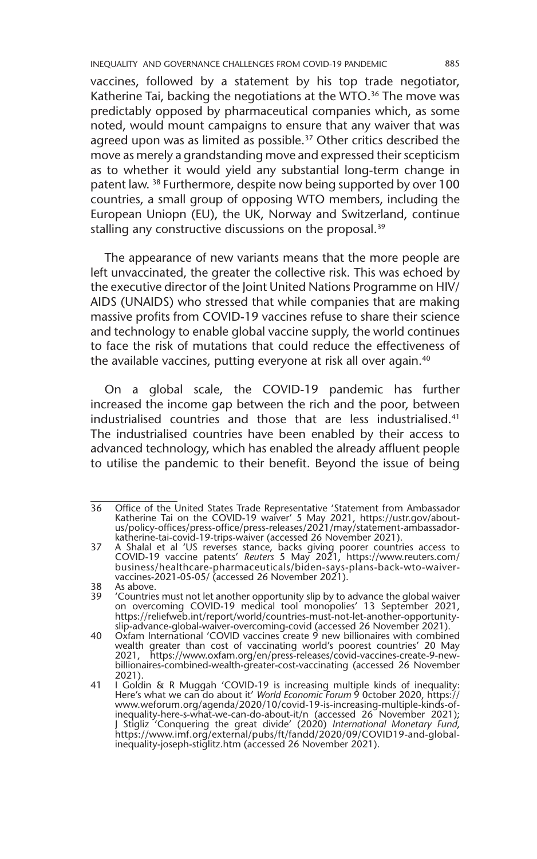INEQUALITY AND GOVERNANCE CHALLENGES FROM COVID-19 PANDEMIC 885

vaccines, followed by a statement by his top trade negotiator, Katherine Tai, backing the negotiations at the WTO.<sup>36</sup> The move was predictably opposed by pharmaceutical companies which, as some noted, would mount campaigns to ensure that any waiver that was agreed upon was as limited as possible.<sup>37</sup> Other critics described the move as merely a grandstanding move and expressed their scepticism as to whether it would yield any substantial long-term change in patent law. 38 Furthermore, despite now being supported by over 100 countries, a small group of opposing WTO members, including the European Uniopn (EU), the UK, Norway and Switzerland, continue stalling any constructive discussions on the proposal.<sup>39</sup>

The appearance of new variants means that the more people are left unvaccinated, the greater the collective risk. This was echoed by the executive director of the Joint United Nations Programme on HIV/ AIDS (UNAIDS) who stressed that while companies that are making massive profits from COVID-19 vaccines refuse to share their science and technology to enable global vaccine supply, the world continues to face the risk of mutations that could reduce the effectiveness of the available vaccines, putting everyone at risk all over again.40

On a global scale, the COVID-19 pandemic has further increased the income gap between the rich and the poor, between industrialised countries and those that are less industrialised.<sup>41</sup> The industrialised countries have been enabled by their access to advanced technology, which has enabled the already affluent people to utilise the pandemic to their benefit. Beyond the issue of being

<sup>36</sup> Office of the United States Trade Representative 'Statement from Ambassador Katherine Tai on the COVID-19 waiver' 5 May 2021, https://ustr.gov/aboutus/policy-offices/press-office/press-releases/2021/may/statement-ambassadorkatherine-tai-covid-19-trips-waiver (accessed 26 November 2021).

<sup>37</sup> A Shalal et al 'US reverses stance, backs giving poorer countries access to COVID-19 vaccine patents' *Reuters* 5 May 2021, https://www.reuters.com/ business/healthcare-pharmaceuticals/biden-says-plans-back-wto-waivervaccines-2021-05-05/ (accessed 26 November 2021).

<sup>38</sup> As above.<br>39 'Countries

<sup>39</sup> 'Countries must not let another opportunity slip by to advance the global waiver on overcoming COVID-19 medical tool monopolies' 13 September 2021, https://reliefweb.int/report/world/countries-must-not-let-another-opportunityslip-advance-global-waiver-overcoming-covid (accessed 26 November 2021).

<sup>40</sup> Oxfam International 'COVID vaccines create 9 new billionaires with combined wealth greater than cost of vaccinating world's poorest countries' 20 May 2021, https://www.oxfam.org/en/press-releases/covid-vaccines-create-9-newbillionaires-combined-wealth-greater-cost-vaccinating (accessed 26 November 2021).

<sup>41</sup> I Goldin & R Muggah 'COVID-19 is increasing multiple kinds of inequality: Here's what we can do about it' *World Economic Forum* 9 October 2020, https://<br>www.weforum.org/agenda/2020/10/covid-19-is-increasing-multiple-kinds-of-<br>inequality-here-s-what-we-can-do-about-it/n (accessed 26 November J Stigliz 'Conquering the great divide' (2020) *International Monetary Fund*, https://www.imf.org/external/pubs/ft/fandd/2020/09/COVID19-and-globalinequality-joseph-stiglitz.htm (accessed 26 November 2021).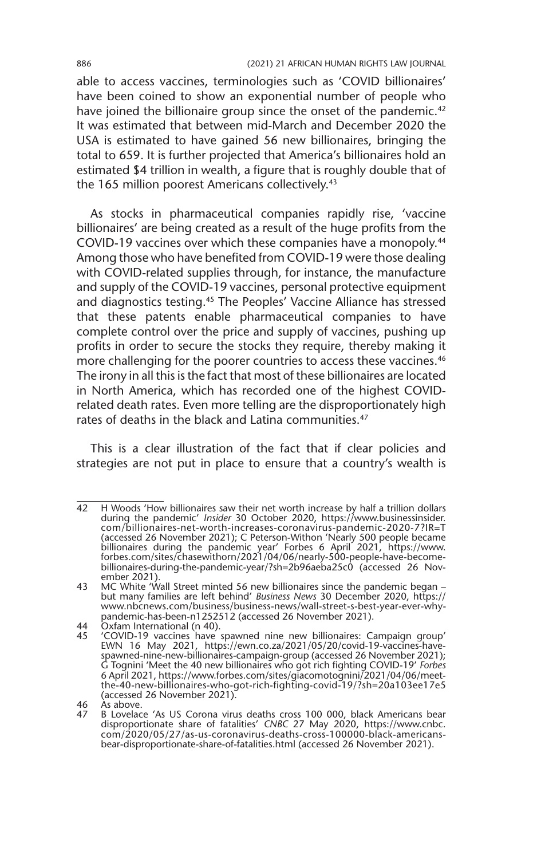able to access vaccines, terminologies such as 'COVID billionaires' have been coined to show an exponential number of people who have joined the billionaire group since the onset of the pandemic.<sup>42</sup> It was estimated that between mid-March and December 2020 the USA is estimated to have gained 56 new billionaires, bringing the total to 659. It is further projected that America's billionaires hold an estimated \$4 trillion in wealth, a figure that is roughly double that of the 165 million poorest Americans collectively.<sup>43</sup>

As stocks in pharmaceutical companies rapidly rise, 'vaccine billionaires' are being created as a result of the huge profits from the COVID-19 vaccines over which these companies have a monopoly.44 Among those who have benefited from COVID-19 were those dealing with COVID-related supplies through, for instance, the manufacture and supply of the COVID-19 vaccines, personal protective equipment and diagnostics testing.45 The Peoples' Vaccine Alliance has stressed that these patents enable pharmaceutical companies to have complete control over the price and supply of vaccines, pushing up profits in order to secure the stocks they require, thereby making it more challenging for the poorer countries to access these vaccines.<sup>46</sup> The irony in all this is the fact that most of these billionaires are located in North America, which has recorded one of the highest COVIDrelated death rates. Even more telling are the disproportionately high rates of deaths in the black and Latina communities.<sup>47</sup>

This is a clear illustration of the fact that if clear policies and strategies are not put in place to ensure that a country's wealth is

<sup>42</sup> H Woods 'How billionaires saw their net worth increase by half a trillion dollars during the pandemic' *Insider* 30 October 2020, https://www.businessinsider. com/billionaires-net-worth-increases-coronavirus-pandemic-2020-7?IR=T (accessed 26 November 2021); C Peterson-Withon 'Nearly 500 people became billionaires during the pandemic year' Forbes 6 April 2021, https://www. forbes.com/sites/chasewithorn/2021/04/06/nearly-500-people-have-becomebillionaires-during-the-pandemic-year/?sh=2b96aeba25c0 (accessed 26 November 2021)

<sup>43</sup> MC White 'Wall Street minted 56 new billionaires since the pandemic began – but many families are left behind' *Business News* 30 December 2020, https:// www.nbcnews.com/business/business-news/wall-street-s-best-year-ever-whypandemic-has-been-n1252512 (accessed 26 November 2021).

<sup>44</sup> **Oxfam International (n 40).**<br>45 **COVID-19** vaccines have

<sup>45</sup> 'COVID-19 vaccines have spawned nine new billionaires: Campaign group' EWN 16 May 2021, https://ewn.co.za/2021/05/20/covid-19-vaccines-havespawned-nine-new-billionaires-campaign-group (accessed 26 November 2021); G Tognini 'Meet the 40 new billionaires who got rich fighting COVID-19' *Forbes*  6 April 2021, https://www.forbes.com/sites/giacomotognini/2021/04/06/meetthe-40-new-billionaires-who-got-rich-fighting-covid-19/?sh=20a103ee17e5 (accessed 26 November 2021).

<sup>46</sup>  $\overrightarrow{A}$ s above.<br>47 B Lovelac

B Lovelace 'As US Corona virus deaths cross 100 000, black Americans bear disproportionate share of fatalities' *CNBC* 27 May 2020, https://www.cnbc. com/2020/05/27/as-us-coronavirus-deaths-cross-100000-black-americansbear-disproportionate-share-of-fatalities.html (accessed 26 November 2021).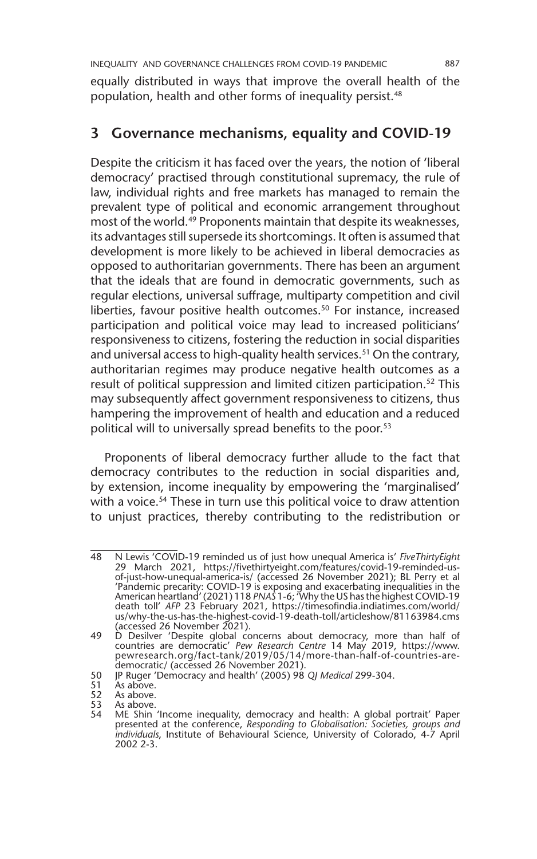equally distributed in ways that improve the overall health of the population, health and other forms of inequality persist.48

## **3 Governance mechanisms, equality and COVID-19**

Despite the criticism it has faced over the years, the notion of 'liberal democracy' practised through constitutional supremacy, the rule of law, individual rights and free markets has managed to remain the prevalent type of political and economic arrangement throughout most of the world.49 Proponents maintain that despite its weaknesses, its advantages still supersede its shortcomings. It often is assumed that development is more likely to be achieved in liberal democracies as opposed to authoritarian governments. There has been an argument that the ideals that are found in democratic governments, such as regular elections, universal suffrage, multiparty competition and civil liberties, favour positive health outcomes.<sup>50</sup> For instance, increased participation and political voice may lead to increased politicians' responsiveness to citizens, fostering the reduction in social disparities and universal access to high-quality health services.<sup>51</sup> On the contrary, authoritarian regimes may produce negative health outcomes as a result of political suppression and limited citizen participation.<sup>52</sup> This may subsequently affect government responsiveness to citizens, thus hampering the improvement of health and education and a reduced political will to universally spread benefits to the poor.<sup>53</sup>

Proponents of liberal democracy further allude to the fact that democracy contributes to the reduction in social disparities and, by extension, income inequality by empowering the 'marginalised' with a voice.<sup>54</sup> These in turn use this political voice to draw attention to unjust practices, thereby contributing to the redistribution or

<sup>48</sup> N Lewis 'COVID-19 reminded us of just how unequal America is' *FiveThirtyEight*  29 March 2021, https://fivethirtyeight.com/features/covid-19-reminded-usof-just-how-unequal-america-is/ (accessed 26 November 2021); BL Perry et al 'Pandemic precarity: COVID-19 is exposing and exacerbating inequalities in the American heartland' (2021) 118 *PNAS* 1-6; 'Why the US has the highest COVID-19 death toll' *AFP* 23 February 2021, https://timesofindia.indiatimes.com/world/ us/why-the-us-has-the-highest-covid-19-death-toll/articleshow/81163984.cms (accessed 26 November 2021).

<sup>49</sup> D Desilver 'Despite global concerns about democracy, more than half of countries are democratic' *Pew Research Centre* 14 May 2019, https://www. pewresearch.org/fact-tank/2019/05/14/more-than-half-of-countries-aredemocratic/ (accessed 26 November 2021).

<sup>50</sup> JP Ruger 'Democracy and health' (2005) 98 *QJ Medical* 299-304.

<sup>51</sup> *As above.*<br>52 As above.

<sup>52</sup> As above.<br>53 As above.

As above.

<sup>54</sup> ME Shin 'Income inequality, democracy and health: A global portrait' Paper presented at the conference, *Responding to Globalisation: Societies, groups and individuals*, Institute of Behavioural Science, University of Colorado, 4-7 April 2002 2-3.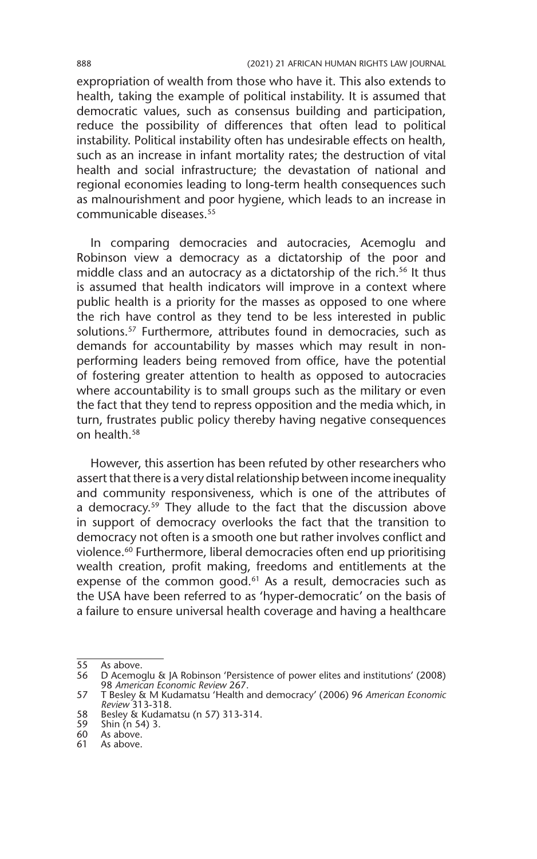expropriation of wealth from those who have it. This also extends to health, taking the example of political instability. It is assumed that democratic values, such as consensus building and participation, reduce the possibility of differences that often lead to political instability. Political instability often has undesirable effects on health, such as an increase in infant mortality rates; the destruction of vital health and social infrastructure; the devastation of national and regional economies leading to long-term health consequences such as malnourishment and poor hygiene, which leads to an increase in communicable diseases.55

In comparing democracies and autocracies, Acemoglu and Robinson view a democracy as a dictatorship of the poor and middle class and an autocracy as a dictatorship of the rich.<sup>56</sup> It thus is assumed that health indicators will improve in a context where public health is a priority for the masses as opposed to one where the rich have control as they tend to be less interested in public solutions.<sup>57</sup> Furthermore, attributes found in democracies, such as demands for accountability by masses which may result in nonperforming leaders being removed from office, have the potential of fostering greater attention to health as opposed to autocracies where accountability is to small groups such as the military or even the fact that they tend to repress opposition and the media which, in turn, frustrates public policy thereby having negative consequences on health.58

However, this assertion has been refuted by other researchers who assert that there is a very distal relationship between income inequality and community responsiveness, which is one of the attributes of a democracy.<sup>59</sup> They allude to the fact that the discussion above in support of democracy overlooks the fact that the transition to democracy not often is a smooth one but rather involves conflict and violence.<sup>60</sup> Furthermore, liberal democracies often end up prioritising wealth creation, profit making, freedoms and entitlements at the expense of the common good. $61$  As a result, democracies such as the USA have been referred to as 'hyper-democratic' on the basis of a failure to ensure universal health coverage and having a healthcare

<sup>55</sup> As above.<br>56 D Acemo

<sup>56</sup> D Acemoglu & JA Robinson 'Persistence of power elites and institutions' (2008) 98 *American Economic Review* 267.

<sup>57</sup> T Besley & M Kudamatsu 'Health and democracy' (2006) 96 *American Economic Review* 313-318.

<sup>58</sup> Besley & Kudamatsu (n 57) 313-314.

<sup>59</sup> Shin (n 54) 3.

<sup>60</sup> As above.

<sup>61</sup> As above.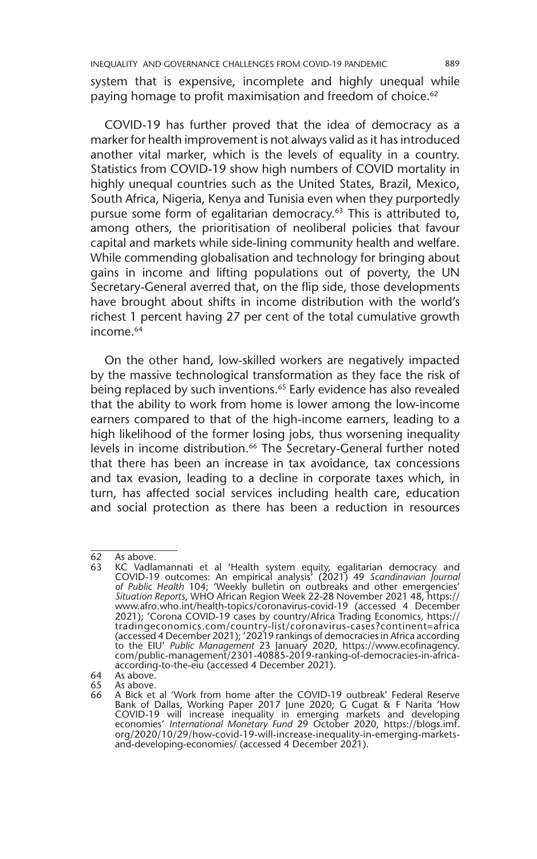system that is expensive, incomplete and highly unequal while paying homage to profit maximisation and freedom of choice.<sup>62</sup>

COVID-19 has further proved that the idea of democracy as a marker for health improvement is not always valid as it has introduced another vital marker, which is the levels of equality in a country. Statistics from COVID-19 show high numbers of COVID mortality in highly unequal countries such as the United States, Brazil, Mexico, South Africa, Nigeria, Kenya and Tunisia even when they purportedly pursue some form of egalitarian democracy.<sup>63</sup> This is attributed to, among others, the prioritisation of neoliberal policies that favour capital and markets while side-lining community health and welfare. While commending globalisation and technology for bringing about gains in income and lifting populations out of poverty, the UN Secretary-General averred that, on the flip side, those developments have brought about shifts in income distribution with the world's richest 1 percent having 27 per cent of the total cumulative growth income.<sup>64</sup>

On the other hand, low-skilled workers are negatively impacted by the massive technological transformation as they face the risk of being replaced by such inventions.<sup>65</sup> Early evidence has also revealed that the ability to work from home is lower among the low-income earners compared to that of the high-income earners, leading to a high likelihood of the former losing jobs, thus worsening inequality levels in income distribution.<sup>66</sup> The Secretary-General further noted that there has been an increase in tax avoidance, tax concessions and tax evasion, leading to a decline in corporate taxes which, in turn, has affected social services including health care, education and social protection as there has been a reduction in resources

 $\overline{62}$  As above.<br>63 KC Vadla

<sup>63</sup> KC Vadlamannati et al 'Health system equity, egalitarian democracy and COVID-19 outcomes: An empirical analysis' (2021) 49 *Scandinavian Journal of Public Health* 104; 'Weekly bulletin on outbreaks and other emergencies' *Situation Reports*, WHO African Region Week 22-28 November 2021 48, https:// www.afro.who.int/health-topics/coronavirus-covid-19 (accessed 4 December 2021); 'Corona COVID-19 cases by country/Africa Trading Economics, https:// tradingeconomics.com/country-list/coronavirus-cases?continent=africa (accessed 4 December 2021); '20219 rankings of democracies in Africa according to the EIU' *Public Management* 23 January 2020, https://www.ecofinagency. com/public-management/2301-40885-2019-ranking-of-democracies-in-africaaccording-to-the-eiu (accessed 4 December 2021).

<sup>64</sup> As above.<br>65 As above. 65 As above.

<sup>66</sup> A Bick et al 'Work from home after the COVID-19 outbreak' Federal Reserve Bank of Dallas, Working Paper 2017 June 2020; G Cugat & F Narita 'How COVID-19 will increase inequality in emerging markets and developing economies' *International Monetary Fund* 29 October 2020, https://blogs.imf. org/2020/10/29/how-covid-19-will-increase-inequality-in-emerging-marketsand-developing-economies/ (accessed 4 December 2021).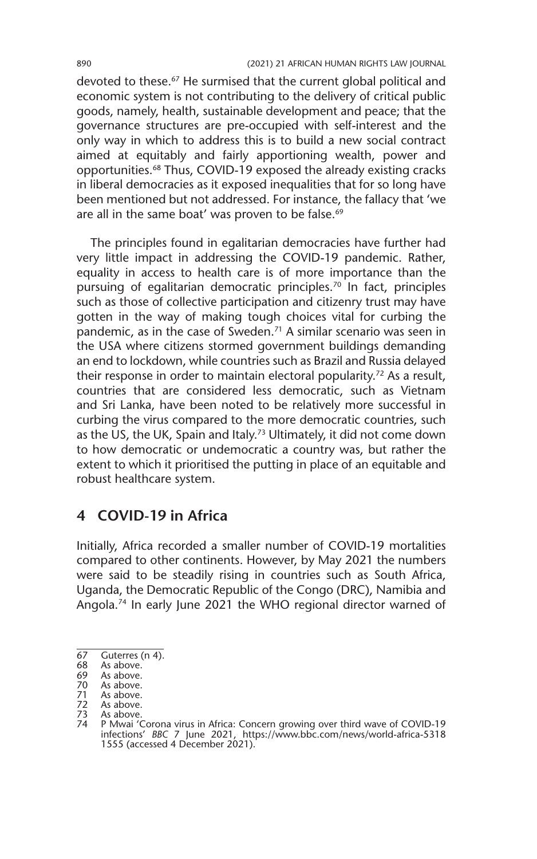devoted to these.<sup>67</sup> He surmised that the current global political and economic system is not contributing to the delivery of critical public goods, namely, health, sustainable development and peace; that the governance structures are pre-occupied with self-interest and the only way in which to address this is to build a new social contract aimed at equitably and fairly apportioning wealth, power and opportunities.68 Thus, COVID-19 exposed the already existing cracks in liberal democracies as it exposed inequalities that for so long have been mentioned but not addressed. For instance, the fallacy that 'we are all in the same boat' was proven to be false.<sup>69</sup>

The principles found in egalitarian democracies have further had very little impact in addressing the COVID-19 pandemic. Rather, equality in access to health care is of more importance than the pursuing of egalitarian democratic principles.<sup>70</sup> In fact, principles such as those of collective participation and citizenry trust may have gotten in the way of making tough choices vital for curbing the pandemic, as in the case of Sweden.<sup>71</sup> A similar scenario was seen in the USA where citizens stormed government buildings demanding an end to lockdown, while countries such as Brazil and Russia delayed their response in order to maintain electoral popularity.72 As a result, countries that are considered less democratic, such as Vietnam and Sri Lanka, have been noted to be relatively more successful in curbing the virus compared to the more democratic countries, such as the US, the UK, Spain and Italy.<sup>73</sup> Ultimately, it did not come down to how democratic or undemocratic a country was, but rather the extent to which it prioritised the putting in place of an equitable and robust healthcare system.

#### **4 COVID-19 in Africa**

Initially, Africa recorded a smaller number of COVID-19 mortalities compared to other continents. However, by May 2021 the numbers were said to be steadily rising in countries such as South Africa, Uganda, the Democratic Republic of the Congo (DRC), Namibia and Angola.74 In early June 2021 the WHO regional director warned of

 $\overline{67}$  Guterres (n 4).

<sup>68</sup> As above.<br>69 As above.

As above.

<sup>70</sup> As above.<br>71 As above.

<sup>71</sup> As above.<br>72 As above.

<sup>72</sup> As above.<br>73 As above.

<sup>73</sup> As above.<br>74 P Mwai 'C 74 P Mwai 'Corona virus in Africa: Concern growing over third wave of COVID-19 infections' *BBC* 7 June 2021, https://www.bbc.com/news/world-africa-5318 1555 (accessed 4 December 2021).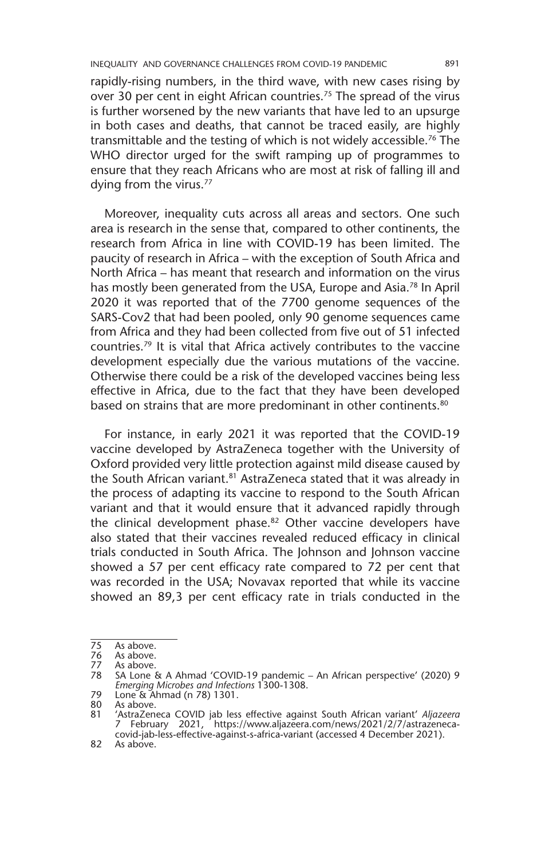rapidly-rising numbers, in the third wave, with new cases rising by over 30 per cent in eight African countries.<sup>75</sup> The spread of the virus is further worsened by the new variants that have led to an upsurge in both cases and deaths, that cannot be traced easily, are highly transmittable and the testing of which is not widely accessible.76 The WHO director urged for the swift ramping up of programmes to ensure that they reach Africans who are most at risk of falling ill and dying from the virus.<sup>77</sup>

Moreover, inequality cuts across all areas and sectors. One such area is research in the sense that, compared to other continents, the research from Africa in line with COVID-19 has been limited. The paucity of research in Africa – with the exception of South Africa and North Africa – has meant that research and information on the virus has mostly been generated from the USA, Europe and Asia.<sup>78</sup> In April 2020 it was reported that of the 7700 genome sequences of the SARS-Cov2 that had been pooled, only 90 genome sequences came from Africa and they had been collected from five out of 51 infected countries.79 It is vital that Africa actively contributes to the vaccine development especially due the various mutations of the vaccine. Otherwise there could be a risk of the developed vaccines being less effective in Africa, due to the fact that they have been developed based on strains that are more predominant in other continents.<sup>80</sup>

For instance, in early 2021 it was reported that the COVID-19 vaccine developed by AstraZeneca together with the University of Oxford provided very little protection against mild disease caused by the South African variant.<sup>81</sup> AstraZeneca stated that it was already in the process of adapting its vaccine to respond to the South African variant and that it would ensure that it advanced rapidly through the clinical development phase.<sup>82</sup> Other vaccine developers have also stated that their vaccines revealed reduced efficacy in clinical trials conducted in South Africa. The Johnson and Johnson vaccine showed a 57 per cent efficacy rate compared to 72 per cent that was recorded in the USA; Novavax reported that while its vaccine showed an 89,3 per cent efficacy rate in trials conducted in the

<sup>75</sup> As above.<br>76 As above.

<sup>76</sup> As above.<br>77 As above.

<sup>77</sup> As above.<br>78 SA Lone<sup>9</sup> 78 SA Lone & A Ahmad 'COVID-19 pandemic – An African perspective' (2020) 9 *Emerging Microbes and Infections* 1300-1308.

<sup>79</sup> Lone & Ahmad (n 78) 1301.

As above.

<sup>81</sup> 'AstraZeneca COVID jab less effective against South African variant' *Aljazeera* 7 February 2021, https://www.aljazeera.com/news/2021/2/7/astrazenecacovid-jab-less-effective-against-s-africa-variant (accessed 4 December 2021).

<sup>82</sup> As above.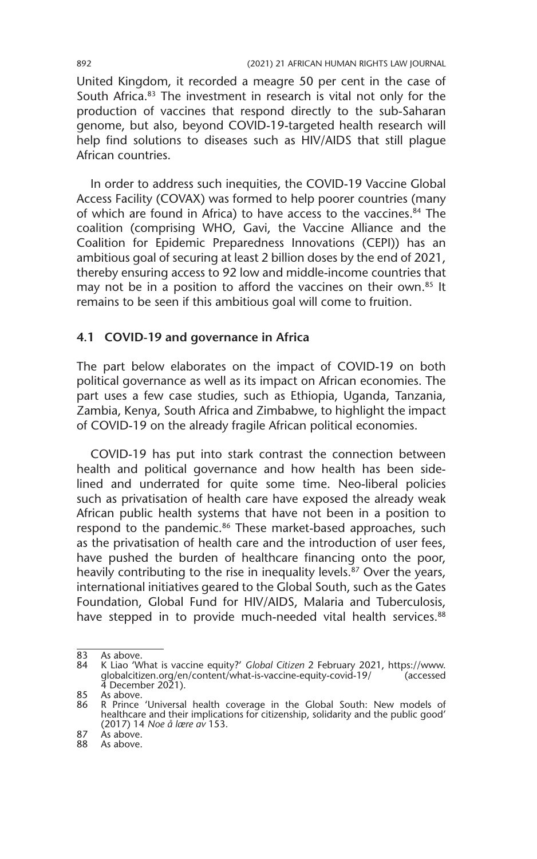United Kingdom, it recorded a meagre 50 per cent in the case of South Africa.<sup>83</sup> The investment in research is vital not only for the production of vaccines that respond directly to the sub-Saharan genome, but also, beyond COVID-19-targeted health research will help find solutions to diseases such as HIV/AIDS that still plague African countries.

In order to address such inequities, the COVID-19 Vaccine Global Access Facility (COVAX) was formed to help poorer countries (many of which are found in Africa) to have access to the vaccines.<sup>84</sup> The coalition (comprising WHO, Gavi, the Vaccine Alliance and the Coalition for Epidemic Preparedness Innovations (CEPI)) has an ambitious goal of securing at least 2 billion doses by the end of 2021, thereby ensuring access to 92 low and middle-income countries that may not be in a position to afford the vaccines on their own.<sup>85</sup> It remains to be seen if this ambitious goal will come to fruition.

#### **4.1 COVID-19 and governance in Africa**

The part below elaborates on the impact of COVID-19 on both political governance as well as its impact on African economies. The part uses a few case studies, such as Ethiopia, Uganda, Tanzania, Zambia, Kenya, South Africa and Zimbabwe, to highlight the impact of COVID-19 on the already fragile African political economies.

COVID-19 has put into stark contrast the connection between health and political governance and how health has been sidelined and underrated for quite some time. Neo-liberal policies such as privatisation of health care have exposed the already weak African public health systems that have not been in a position to respond to the pandemic.<sup>86</sup> These market-based approaches, such as the privatisation of health care and the introduction of user fees, have pushed the burden of healthcare financing onto the poor, heavily contributing to the rise in inequality levels.<sup>87</sup> Over the years, international initiatives geared to the Global South, such as the Gates Foundation, Global Fund for HIV/AIDS, Malaria and Tuberculosis, have stepped in to provide much-needed vital health services.<sup>88</sup>

<sup>83</sup> As above.<br>84 K Liao 'W

<sup>84</sup> K Liao 'What is vaccine equity?' *Global Citizen* 2 February 2021, https://www. globalcitizen.org/en/content/what-is-vaccine-equity-covid-19/ (accessed  $\overline{4}$  December 2021).

<sup>85</sup> As above. 86 R Prince 'Universal health coverage in the Global South: New models of healthcare and their implications for citizenship, solidarity and the public good' (2017) 14 *Noe å lære av* 153.  $87$  As above.

<sup>88</sup> As above.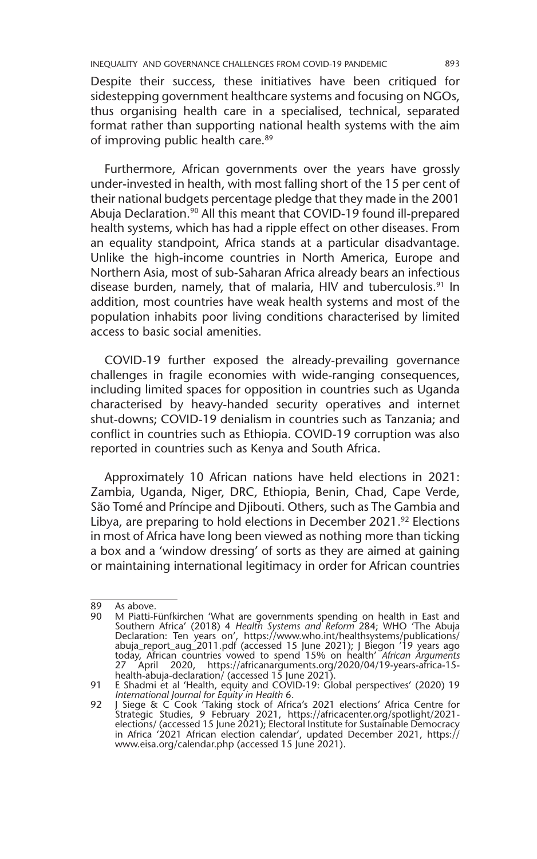Despite their success, these initiatives have been critiqued for sidestepping government healthcare systems and focusing on NGOs, thus organising health care in a specialised, technical, separated format rather than supporting national health systems with the aim of improving public health care.<sup>89</sup>

Furthermore, African governments over the years have grossly under-invested in health, with most falling short of the 15 per cent of their national budgets percentage pledge that they made in the 2001 Abuja Declaration.<sup>90</sup> All this meant that COVID-19 found ill-prepared health systems, which has had a ripple effect on other diseases. From an equality standpoint, Africa stands at a particular disadvantage. Unlike the high-income countries in North America, Europe and Northern Asia, most of sub-Saharan Africa already bears an infectious disease burden, namely, that of malaria, HIV and tuberculosis.<sup>91</sup> In addition, most countries have weak health systems and most of the population inhabits poor living conditions characterised by limited access to basic social amenities.

COVID-19 further exposed the already-prevailing governance challenges in fragile economies with wide-ranging consequences, including limited spaces for opposition in countries such as Uganda characterised by heavy-handed security operatives and internet shut-downs; COVID-19 denialism in countries such as Tanzania; and conflict in countries such as Ethiopia. COVID-19 corruption was also reported in countries such as Kenya and South Africa.

Approximately 10 African nations have held elections in 2021: Zambia, Uganda, Niger, DRC, Ethiopia, Benin, Chad, Cape Verde, São Tomé and Príncipe and Djibouti. Others, such as The Gambia and Libya, are preparing to hold elections in December 2021.<sup>92</sup> Elections in most of Africa have long been viewed as nothing more than ticking a box and a 'window dressing' of sorts as they are aimed at gaining or maintaining international legitimacy in order for African countries

 $\overline{89}$  As above.<br>90 M Piatti-

<sup>90</sup> M Piatti-Fünfkirchen 'What are governments spending on health in East and Southern Africa' (2018) 4 *Health Systems and Reform* 284; WHO 'The Abuja Declaration: Ten years on', https://www.who.int/healthsystems/publications/ abuja\_report\_aug\_2011.pdf (accessed 15 June 2021); J Biegon '19 years ago today, African countries vowed to spend 15% on health' *African Arguments*  27 April 2020, https://africanarguments.org/2020/04/19-years-africa-15 health-abuja-declaration/ (accessed 15 June 2021).

<sup>91</sup> E Shadmi et al 'Health, equity and COVID-19: Global perspectives' (2020) 19

*International Journal for Equity in Health* 6. 92 J Siege & C Cook 'Taking stock of Africa's 2021 elections' Africa Centre for Strategic Studies, 9 February 2021, https://africacenter.org/spotlight/2021 elections/ (accessed 15 June 2021); Electoral Institute for Sustainable Democracy in Africa '2021 African election calendar', updated December 2021, https:// www.eisa.org/calendar.php (accessed 15 June 2021).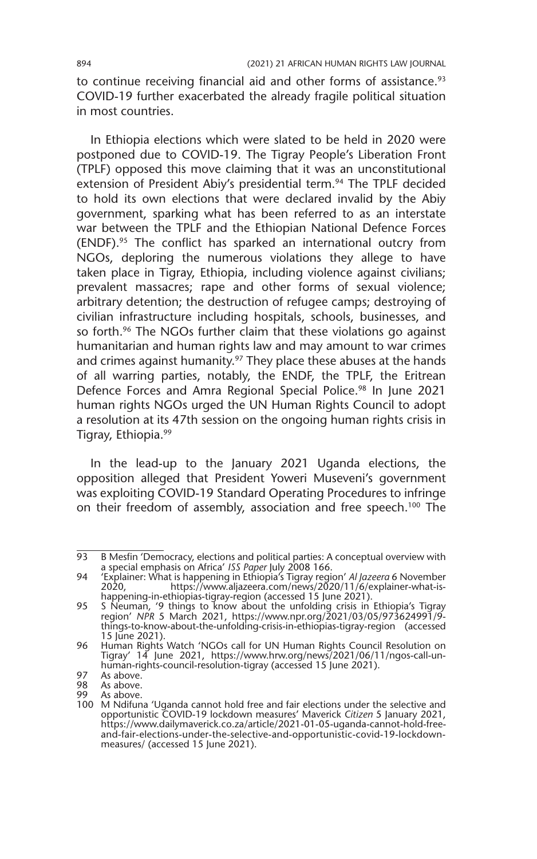to continue receiving financial aid and other forms of assistance.<sup>93</sup> COVID-19 further exacerbated the already fragile political situation in most countries.

In Ethiopia elections which were slated to be held in 2020 were postponed due to COVID-19. The Tigray People's Liberation Front (TPLF) opposed this move claiming that it was an unconstitutional extension of President Abiy's presidential term.<sup>94</sup> The TPLF decided to hold its own elections that were declared invalid by the Abiy government, sparking what has been referred to as an interstate war between the TPLF and the Ethiopian National Defence Forces (ENDF).95 The conflict has sparked an international outcry from NGOs, deploring the numerous violations they allege to have taken place in Tigray, Ethiopia, including violence against civilians; prevalent massacres; rape and other forms of sexual violence; arbitrary detention; the destruction of refugee camps; destroying of civilian infrastructure including hospitals, schools, businesses, and so forth.<sup>96</sup> The NGOs further claim that these violations go against humanitarian and human rights law and may amount to war crimes and crimes against humanity.<sup>97</sup> They place these abuses at the hands of all warring parties, notably, the ENDF, the TPLF, the Eritrean Defence Forces and Amra Regional Special Police.<sup>98</sup> In June 2021 human rights NGOs urged the UN Human Rights Council to adopt a resolution at its 47th session on the ongoing human rights crisis in Tigray, Ethiopia.99

In the lead-up to the January 2021 Uganda elections, the opposition alleged that President Yoweri Museveni's government was exploiting COVID-19 Standard Operating Procedures to infringe on their freedom of assembly, association and free speech.<sup>100</sup> The

<sup>93</sup> B Mesfin 'Democracy, elections and political parties: A conceptual overview with a special emphasis on Africa' *ISS Paper* July 2008 166.

<sup>94</sup> 'Explainer: What is happening in Ethiopia's Tigray region' *Al Jazeera* 6 November 2020, https://www.aljazeera.com/news/2020/11/6/explainer-what-ishappening-in-ethiopias-tigray-region (accessed 15 June 2021).

<sup>95</sup> S Neuman, '9 things to know about the unfolding crisis in Ethiopia's Tigray region' *NPR* 5 March 2021, https://www.npr.org/2021/03/05/973624991/9 things-to-know-about-the-unfolding-crisis-in-ethiopias-tigray-region (accessed 15 June 2021).

<sup>96</sup> Human Rights Watch 'NGOs call for UN Human Rights Council Resolution on Tigray' 14 June 2021, https://www.hrw.org/news/2021/06/11/ngos-call-unhuman-rights-council-resolution-tigray (accessed 15 June 2021).

<sup>97</sup> As above.<br>98 As above.

As above.

<sup>99</sup> As above. 100 M Ndifuna 'Uganda cannot hold free and fair elections under the selective and opportunistic COVID-19 lockdown measures' Maverick *Citizen* 5 January 2021, https://www.dailymaverick.co.za/article/2021-01-05-uganda-cannot-hold-freeand-fair-elections-under-the-selective-and-opportunistic-covid-19-lockdownmeasures/ (accessed 15 June 2021).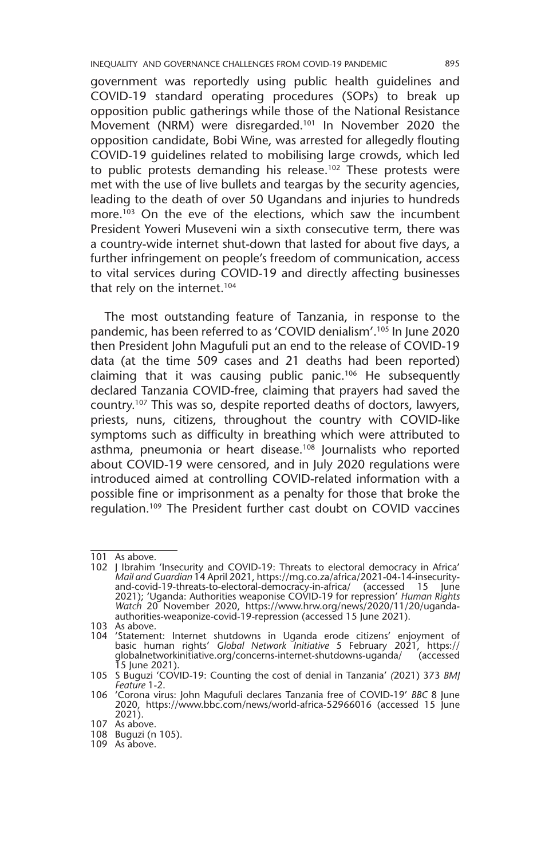government was reportedly using public health guidelines and COVID-19 standard operating procedures (SOPs) to break up opposition public gatherings while those of the National Resistance Movement (NRM) were disregarded.<sup>101</sup> In November 2020 the opposition candidate, Bobi Wine, was arrested for allegedly flouting COVID-19 guidelines related to mobilising large crowds, which led to public protests demanding his release.<sup>102</sup> These protests were met with the use of live bullets and teargas by the security agencies, leading to the death of over 50 Ugandans and injuries to hundreds more.<sup>103</sup> On the eve of the elections, which saw the incumbent President Yoweri Museveni win a sixth consecutive term, there was a country-wide internet shut-down that lasted for about five days, a further infringement on people's freedom of communication, access to vital services during COVID-19 and directly affecting businesses that rely on the internet.<sup>104</sup>

The most outstanding feature of Tanzania, in response to the pandemic, has been referred to as 'COVID denialism'.105 In June 2020 then President John Magufuli put an end to the release of COVID-19 data (at the time 509 cases and 21 deaths had been reported) claiming that it was causing public panic.106 He subsequently declared Tanzania COVID-free, claiming that prayers had saved the country.107 This was so, despite reported deaths of doctors, lawyers, priests, nuns, citizens, throughout the country with COVID-like symptoms such as difficulty in breathing which were attributed to asthma, pneumonia or heart disease.<sup>108</sup> Journalists who reported about COVID-19 were censored, and in July 2020 regulations were introduced aimed at controlling COVID-related information with a possible fine or imprisonment as a penalty for those that broke the regulation.109 The President further cast doubt on COVID vaccines

103 As above.

<sup>101</sup> As above.

<sup>102</sup> J Ibrahim 'Insecurity and COVID-19: Threats to electoral democracy in Africa' *Mail and Guardian* 14 April 2021, https://mg.co.za/africa/2021-04-14-insecurityand-covid-19-threats-to-electoral-democracy-in-africa/ (accessed 15 June 2021); 'Uganda: Authorities weaponise COVID-19 for repression' *Human Rights Watch* 20 November 2020, https://www.hrw.org/news/2020/11/20/ugandaauthorities-weaponize-covid-19-repression (accessed 15 June 2021).

<sup>104</sup> 'Statement: Internet shutdowns in Uganda erode citizens' enjoyment of basic human rights' *Global Network Initiative* 5 February 2021, https:// globalnetworkinitiative.org/concerns-internet-shutdowns-uganda/ (accessed 15 June 2021).

<sup>105</sup> S Buguzi 'COVID-19: Counting the cost of denial in Tanzania' *(*2021) 373 *BMJ Feature* 1-2.

<sup>106</sup> 'Corona virus: John Magufuli declares Tanzania free of COVID-19' *BBC* 8 June 2020, https://www.bbc.com/news/world-africa-52966016 (accessed 15 June 2021).

<sup>107</sup> As above.

<sup>108</sup> Buguzi (n 105).

<sup>109</sup> As above.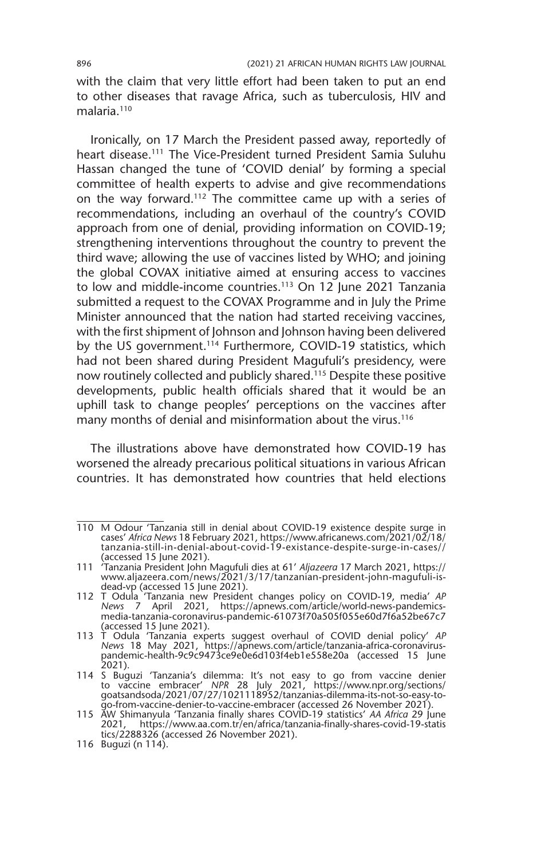with the claim that very little effort had been taken to put an end to other diseases that ravage Africa, such as tuberculosis, HIV and malaria.<sup>110</sup>

Ironically, on 17 March the President passed away, reportedly of heart disease.111 The Vice-President turned President Samia Suluhu Hassan changed the tune of 'COVID denial' by forming a special committee of health experts to advise and give recommendations on the way forward.112 The committee came up with a series of recommendations, including an overhaul of the country's COVID approach from one of denial, providing information on COVID-19; strengthening interventions throughout the country to prevent the third wave; allowing the use of vaccines listed by WHO; and joining the global COVAX initiative aimed at ensuring access to vaccines to low and middle-income countries.<sup>113</sup> On 12 June 2021 Tanzania submitted a request to the COVAX Programme and in July the Prime Minister announced that the nation had started receiving vaccines, with the first shipment of Johnson and Johnson having been delivered by the US government.<sup>114</sup> Furthermore, COVID-19 statistics, which had not been shared during President Magufuli's presidency, were now routinely collected and publicly shared.115 Despite these positive developments, public health officials shared that it would be an uphill task to change peoples' perceptions on the vaccines after many months of denial and misinformation about the virus.<sup>116</sup>

The illustrations above have demonstrated how COVID-19 has worsened the already precarious political situations in various African countries. It has demonstrated how countries that held elections

<sup>110</sup> M Odour 'Tanzania still in denial about COVID-19 existence despite surge in cases' *Africa News* 18 February 2021, https://www.africanews.com/2021/02/18/ tanzania-still-in-denial-about-covid-19-existance-despite-surge-in-cases// (accessed 15 June 2021).

<sup>111</sup> 'Tanzania President John Magufuli dies at 61' *Aljazeera* 17 March 2021, https:// www.aljazeera.com/news/2021/3/17/tanzanian-president-john-magufuli-isdead-vp (accessed 15 June 2021).

<sup>112</sup> T Odula 'Tanzania new President changes policy on COVID-19, media' *AP News* 7 April 2021, https://apnews.com/article/world-news-pandemicsmedia-tanzania-coronavirus-pandemic-61073f70a505f055e60d7f6a52be67c7 (accessed 15 June 2021).

<sup>113</sup> T Odula 'Tanzania experts suggest overhaul of COVID denial policy' *AP News* 18 May 2021, https://apnews.com/article/tanzania-africa-coronaviruspandemic-health-9c9c9473ce9e0e6d103f4eb1e558e20a (accessed 15 June 2021).

<sup>114</sup> S Buguzi 'Tanzania's dilemma: It's not easy to go from vaccine denier to vaccine embracer' *NPR* 28 July 2021, https://www.npr.org/sections/ goatsandsoda/2021/07/27/1021118952/tanzanias-dilemma-its-not-so-easy-to-

go-from-vaccine-denier-to-vaccine-embracer (accessed 26 November 2021). 115 AW Shimanyula 'Tanzania finally shares COVID-19 statistics' *AA Africa* 29 June 2021, https://www.aa.com.tr/en/africa/tanzania-finally-shares-covid-19-statis tics/2288326 (accessed 26 November 2021).

<sup>116</sup> Buguzi (n 114).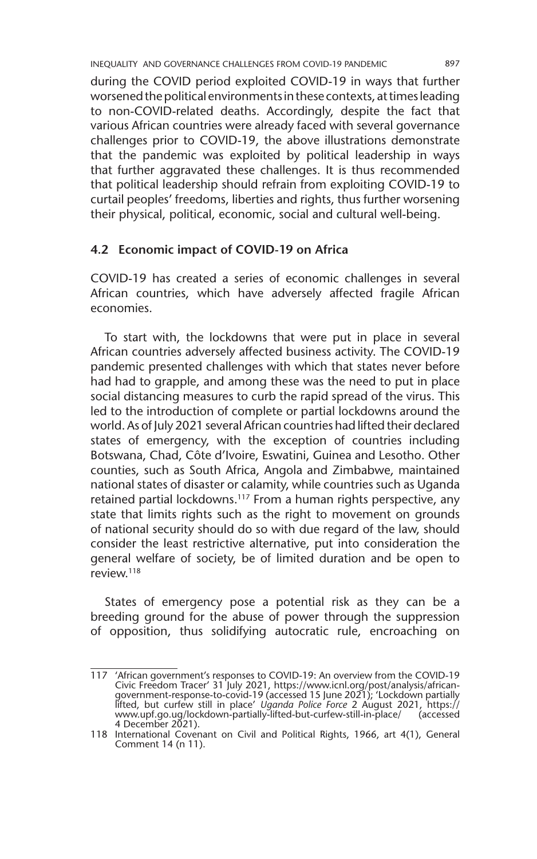INEQUALITY AND GOVERNANCE CHALLENGES FROM COVID-19 PANDEMIC 897

during the COVID period exploited COVID-19 in ways that further worsened the political environments in these contexts, at times leading to non-COVID-related deaths. Accordingly, despite the fact that various African countries were already faced with several governance challenges prior to COVID-19, the above illustrations demonstrate that the pandemic was exploited by political leadership in ways that further aggravated these challenges. It is thus recommended that political leadership should refrain from exploiting COVID-19 to curtail peoples' freedoms, liberties and rights, thus further worsening their physical, political, economic, social and cultural well-being.

#### **4.2 Economic impact of COVID-19 on Africa**

COVID-19 has created a series of economic challenges in several African countries, which have adversely affected fragile African economies.

To start with, the lockdowns that were put in place in several African countries adversely affected business activity. The COVID-19 pandemic presented challenges with which that states never before had had to grapple, and among these was the need to put in place social distancing measures to curb the rapid spread of the virus. This led to the introduction of complete or partial lockdowns around the world. As of July 2021 several African countries had lifted their declared states of emergency, with the exception of countries including Botswana, Chad, Côte d'Ivoire, Eswatini, Guinea and Lesotho. Other counties, such as South Africa, Angola and Zimbabwe, maintained national states of disaster or calamity, while countries such as Uganda retained partial lockdowns.<sup>117</sup> From a human rights perspective, any state that limits rights such as the right to movement on grounds of national security should do so with due regard of the law, should consider the least restrictive alternative, put into consideration the general welfare of society, be of limited duration and be open to review.118

States of emergency pose a potential risk as they can be a breeding ground for the abuse of power through the suppression of opposition, thus solidifying autocratic rule, encroaching on

<sup>117</sup> 'African government's responses to COVID-19: An overview from the COVID-19 Civic Freedom Tracer' 31 July 2021, https://www.icnl.org/post/analysis/africangovernment-response-to-covid-19 (accessed 15 June 2021); 'Lockdown partially<br>lifted, but curfew still in place' *Uganda Police Force* 2 August 2021, https://<br>www.upf.go.ug/lockdown-partially-lifted-but-curfew-still-in-plac 4 December 2021).

<sup>118</sup> International Covenant on Civil and Political Rights, 1966, art 4(1), General Comment 14 (n 11).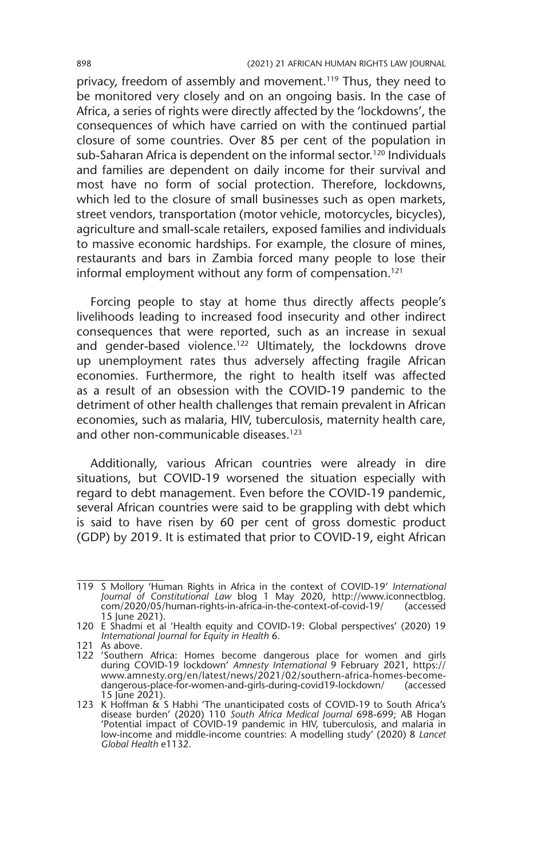privacy, freedom of assembly and movement.<sup>119</sup> Thus, they need to be monitored very closely and on an ongoing basis. In the case of Africa, a series of rights were directly affected by the 'lockdowns', the consequences of which have carried on with the continued partial closure of some countries. Over 85 per cent of the population in sub-Saharan Africa is dependent on the informal sector.<sup>120</sup> Individuals and families are dependent on daily income for their survival and most have no form of social protection. Therefore, lockdowns, which led to the closure of small businesses such as open markets, street vendors, transportation (motor vehicle, motorcycles, bicycles), agriculture and small-scale retailers, exposed families and individuals to massive economic hardships. For example, the closure of mines, restaurants and bars in Zambia forced many people to lose their informal employment without any form of compensation.<sup>121</sup>

Forcing people to stay at home thus directly affects people's livelihoods leading to increased food insecurity and other indirect consequences that were reported, such as an increase in sexual and gender-based violence.<sup>122</sup> Ultimately, the lockdowns drove up unemployment rates thus adversely affecting fragile African economies. Furthermore, the right to health itself was affected as a result of an obsession with the COVID-19 pandemic to the detriment of other health challenges that remain prevalent in African economies, such as malaria, HIV, tuberculosis, maternity health care, and other non-communicable diseases.123

Additionally, various African countries were already in dire situations, but COVID-19 worsened the situation especially with regard to debt management. Even before the COVID-19 pandemic, several African countries were said to be grappling with debt which is said to have risen by 60 per cent of gross domestic product (GDP) by 2019. It is estimated that prior to COVID-19, eight African

<sup>119</sup> S Mollory 'Human Rights in Africa in the context of COVID-19' *International Journal of Constitutional Law* blog 1 May 2020, http://www.iconnectblog. com/2020/05/human-rights-in-africa-in-the-context-of-covid-19/ 15 June 2021).

<sup>120</sup> E Shadmi et al 'Health equity and COVID-19: Global perspectives' (2020) 19 *International Journal for Equity in Health* 6.

<sup>121</sup> As above.

<sup>122</sup> 'Southern Africa: Homes become dangerous place for women and girls during COVID-19 lockdown' *Amnesty International* 9 February 2021, https:// www.amnesty.org/en/latest/news/2021/02/southern-africa-homes-becomedangerous-place-for-women-and-girls-during-covid19-lockdown/ (accessed

<sup>15</sup> June 2021). 123 K Hoffman & S Habhi 'The unanticipated costs of COVID-19 to South Africa's disease burden' (2020) 110 *South Africa Medical Journal* 698-699; AB Hogan 'Potential impact of COVID-19 pandemic in HIV, tuberculosis, and malaria in low-income and middle-income countries: A modelling study' (2020) 8 *Lancet Global Health* e1132.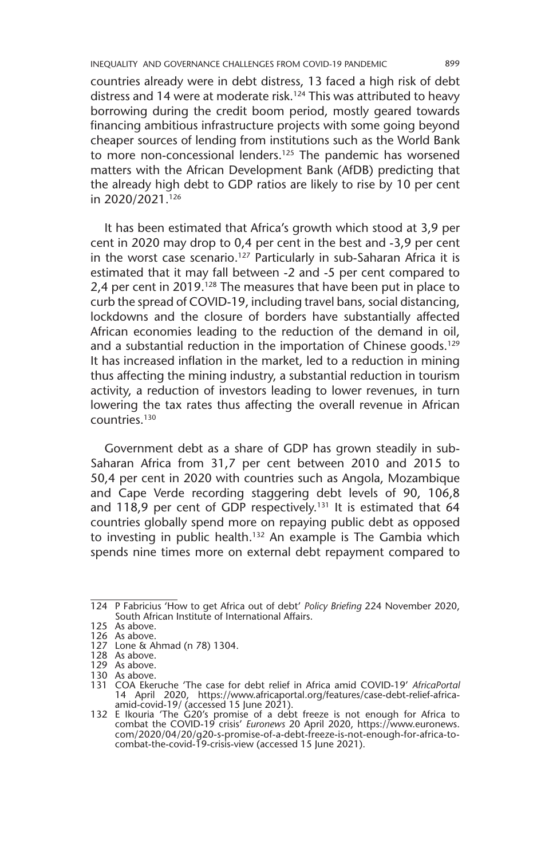INEQUALITY AND GOVERNANCE CHALLENGES FROM COVID-19 PANDEMIC 899

countries already were in debt distress, 13 faced a high risk of debt distress and 14 were at moderate risk.<sup>124</sup> This was attributed to heavy borrowing during the credit boom period, mostly geared towards financing ambitious infrastructure projects with some going beyond cheaper sources of lending from institutions such as the World Bank to more non-concessional lenders.<sup>125</sup> The pandemic has worsened matters with the African Development Bank (AfDB) predicting that the already high debt to GDP ratios are likely to rise by 10 per cent in 2020/2021.126

It has been estimated that Africa's growth which stood at 3,9 per cent in 2020 may drop to 0,4 per cent in the best and -3,9 per cent in the worst case scenario.<sup>127</sup> Particularly in sub-Saharan Africa it is estimated that it may fall between -2 and -5 per cent compared to 2,4 per cent in 2019.<sup>128</sup> The measures that have been put in place to curb the spread of COVID-19, including travel bans, social distancing, lockdowns and the closure of borders have substantially affected African economies leading to the reduction of the demand in oil, and a substantial reduction in the importation of Chinese goods.<sup>129</sup> It has increased inflation in the market, led to a reduction in mining thus affecting the mining industry, a substantial reduction in tourism activity, a reduction of investors leading to lower revenues, in turn lowering the tax rates thus affecting the overall revenue in African countries.130

Government debt as a share of GDP has grown steadily in sub-Saharan Africa from 31,7 per cent between 2010 and 2015 to 50,4 per cent in 2020 with countries such as Angola, Mozambique and Cape Verde recording staggering debt levels of 90, 106,8 and 118,9 per cent of GDP respectively.<sup>131</sup> It is estimated that 64 countries globally spend more on repaying public debt as opposed to investing in public health.<sup>132</sup> An example is The Gambia which spends nine times more on external debt repayment compared to

<sup>124</sup> P Fabricius 'How to get Africa out of debt' *Policy Briefing* 224 November 2020, South African Institute of International Affairs.

<sup>125</sup> As above.

<sup>126</sup> As above. 127 Lone & Ahmad (n 78) 1304.

<sup>128</sup> As above.

<sup>129</sup> As above.

<sup>130</sup> As above.

<sup>131</sup> COA Ekeruche 'The case for debt relief in Africa amid COVID-19' *AfricaPortal*  14 April 2020, https://www.africaportal.org/features/case-debt-relief-africa-amid-covid-19/ (accessed 15 June 2021). 132 E Ikouria 'The G20's promise of a debt freeze is not enough for Africa to

combat the COVID-19 crisis' *Euronews* 20 April 2020, https://www.euronews. com/2020/04/20/g20-s-promise-of-a-debt-freeze-is-not-enough-for-africa-tocombat-the-covid-19-crisis-view (accessed 15 June 2021).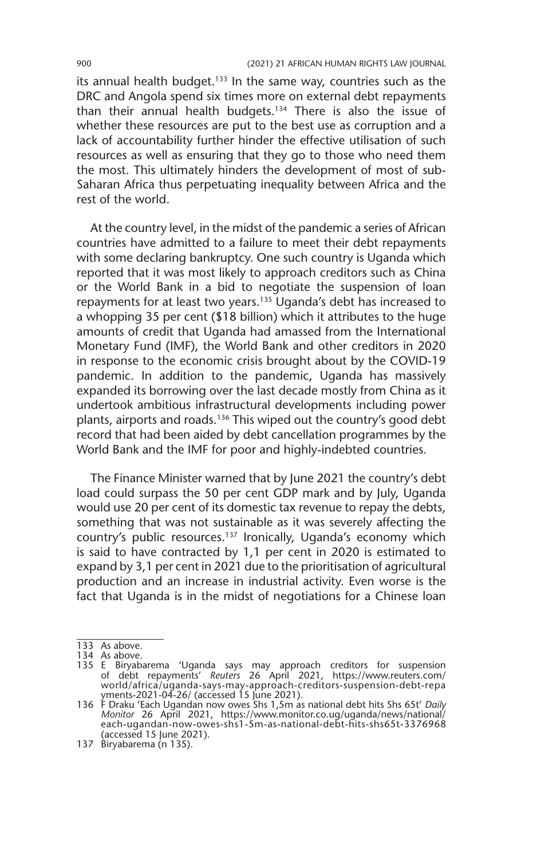its annual health budget. $133$  In the same way, countries such as the DRC and Angola spend six times more on external debt repayments than their annual health budgets.<sup>134</sup> There is also the issue of whether these resources are put to the best use as corruption and a lack of accountability further hinder the effective utilisation of such resources as well as ensuring that they go to those who need them the most. This ultimately hinders the development of most of sub-Saharan Africa thus perpetuating inequality between Africa and the rest of the world.

At the country level, in the midst of the pandemic a series of African countries have admitted to a failure to meet their debt repayments with some declaring bankruptcy. One such country is Uganda which reported that it was most likely to approach creditors such as China or the World Bank in a bid to negotiate the suspension of loan repayments for at least two years.135 Uganda's debt has increased to a whopping 35 per cent (\$18 billion) which it attributes to the huge amounts of credit that Uganda had amassed from the International Monetary Fund (IMF), the World Bank and other creditors in 2020 in response to the economic crisis brought about by the COVID-19 pandemic. In addition to the pandemic, Uganda has massively expanded its borrowing over the last decade mostly from China as it undertook ambitious infrastructural developments including power plants, airports and roads.136 This wiped out the country's good debt record that had been aided by debt cancellation programmes by the World Bank and the IMF for poor and highly-indebted countries.

The Finance Minister warned that by June 2021 the country's debt load could surpass the 50 per cent GDP mark and by July, Uganda would use 20 per cent of its domestic tax revenue to repay the debts, something that was not sustainable as it was severely affecting the country's public resources.137 Ironically, Uganda's economy which is said to have contracted by 1,1 per cent in 2020 is estimated to expand by 3,1 per cent in 2021 due to the prioritisation of agricultural production and an increase in industrial activity. Even worse is the fact that Uganda is in the midst of negotiations for a Chinese loan

133 As above.

<sup>134</sup> As above.

<sup>135</sup> E Biryabarema 'Uganda says may approach creditors for suspension of debt repayments' *Reuters* 26 April 2021, https://www.reuters.com/ world/africa/uganda-says-may-approach-creditors-suspension-debt-repa

yments-2021-04-26/ (accessed 15 June 2021). 136 F Draku 'Each Ugandan now owes Shs 1,5m as national debt hits Shs 65t' *Daily Monitor* 26 April 2021, https://www.monitor.co.ug/uganda/news/national/ each-ugandan-now-owes-shs1-5m-as-national-debt-hits-shs65t-3376968 (accessed 15 June 2021).

<sup>137</sup> Biryabarema (n 135).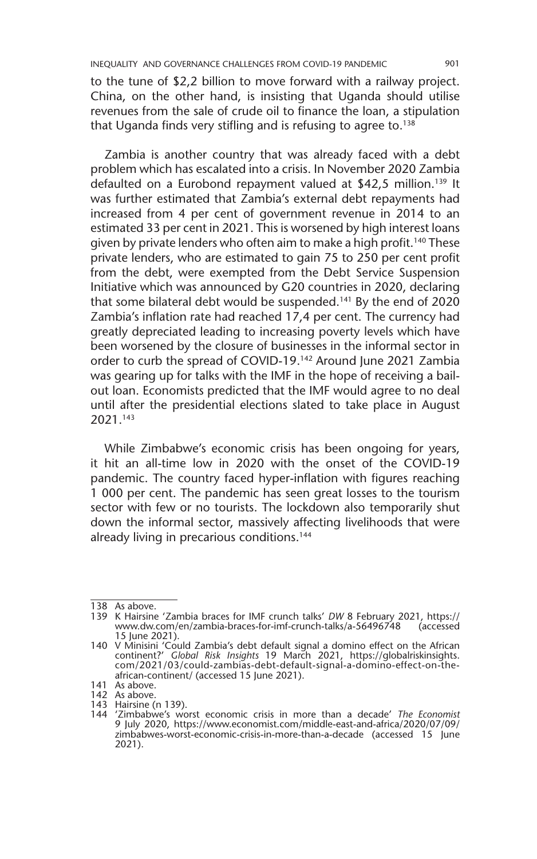to the tune of \$2,2 billion to move forward with a railway project. China, on the other hand, is insisting that Uganda should utilise revenues from the sale of crude oil to finance the loan, a stipulation that Uganda finds very stifling and is refusing to agree to. $138$ 

Zambia is another country that was already faced with a debt problem which has escalated into a crisis. In November 2020 Zambia defaulted on a Eurobond repayment valued at \$42,5 million.<sup>139</sup> It was further estimated that Zambia's external debt repayments had increased from 4 per cent of government revenue in 2014 to an estimated 33 per cent in 2021. This is worsened by high interest loans given by private lenders who often aim to make a high profit.<sup>140</sup> These private lenders, who are estimated to gain 75 to 250 per cent profit from the debt, were exempted from the Debt Service Suspension Initiative which was announced by G20 countries in 2020, declaring that some bilateral debt would be suspended.141 By the end of 2020 Zambia's inflation rate had reached 17,4 per cent. The currency had greatly depreciated leading to increasing poverty levels which have been worsened by the closure of businesses in the informal sector in order to curb the spread of COVID-19.142 Around June 2021 Zambia was gearing up for talks with the IMF in the hope of receiving a bailout loan. Economists predicted that the IMF would agree to no deal until after the presidential elections slated to take place in August 2021.143

While Zimbabwe's economic crisis has been ongoing for years, it hit an all-time low in 2020 with the onset of the COVID-19 pandemic. The country faced hyper-inflation with figures reaching 1 000 per cent. The pandemic has seen great losses to the tourism sector with few or no tourists. The lockdown also temporarily shut down the informal sector, massively affecting livelihoods that were already living in precarious conditions.<sup>144</sup>

<sup>138</sup> As above.

<sup>139</sup> K Hairsine 'Zambia braces for IMF crunch talks' *DW* 8 February 2021, https:// www.dw.com/en/zambia-braces-for-imf-crunch-talks/a-56496748 15 June 2021).

<sup>140</sup> V Minisini 'Could Zambia's debt default signal a domino effect on the African continent?' *Global Risk Insights* 19 March 2021, https://globalriskinsights. com/2021/03/could-zambias-debt-default-signal-a-domino-effect-on-theafrican-continent/ (accessed 15 June 2021).

<sup>141</sup> As above.

<sup>142</sup> As above. 143 Hairsine (n 139).

<sup>144</sup> 'Zimbabwe's worst economic crisis in more than a decade' *The Economist* 9 July 2020, https://www.economist.com/middle-east-and-africa/2020/07/09/ zimbabwes-worst-economic-crisis-in-more-than-a-decade (accessed 15 June 2021).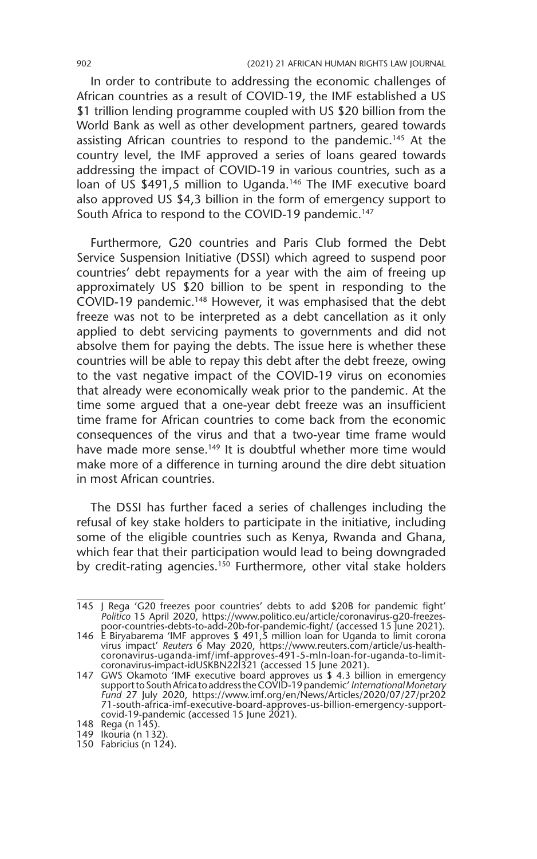In order to contribute to addressing the economic challenges of African countries as a result of COVID-19, the IMF established a US \$1 trillion lending programme coupled with US \$20 billion from the World Bank as well as other development partners, geared towards assisting African countries to respond to the pandemic.<sup>145</sup> At the country level, the IMF approved a series of loans geared towards addressing the impact of COVID-19 in various countries, such as a loan of US \$491,5 million to Uganda.<sup>146</sup> The IMF executive board also approved US \$4,3 billion in the form of emergency support to South Africa to respond to the COVID-19 pandemic.<sup>147</sup>

Furthermore, G20 countries and Paris Club formed the Debt Service Suspension Initiative (DSSI) which agreed to suspend poor countries' debt repayments for a year with the aim of freeing up approximately US \$20 billion to be spent in responding to the COVID-19 pandemic.148 However, it was emphasised that the debt freeze was not to be interpreted as a debt cancellation as it only applied to debt servicing payments to governments and did not absolve them for paying the debts. The issue here is whether these countries will be able to repay this debt after the debt freeze, owing to the vast negative impact of the COVID-19 virus on economies that already were economically weak prior to the pandemic. At the time some argued that a one-year debt freeze was an insufficient time frame for African countries to come back from the economic consequences of the virus and that a two-year time frame would have made more sense.<sup>149</sup> It is doubtful whether more time would make more of a difference in turning around the dire debt situation in most African countries.

The DSSI has further faced a series of challenges including the refusal of key stake holders to participate in the initiative, including some of the eligible countries such as Kenya, Rwanda and Ghana, which fear that their participation would lead to being downgraded by credit-rating agencies.<sup>150</sup> Furthermore, other vital stake holders

<sup>145</sup> J Rega 'G20 freezes poor countries' debts to add \$20B for pandemic fight' *Politico* 15 April 2020, https://www.politico.eu/article/coronavirus-g20-freezespoor-countries-debts-to-add-20b-for-pandemic-fight/ (accessed 15 June 2021).

<sup>146</sup> E Biryabarema 'IMF approves \$ 491,5 million loan for Uganda to limit corona virus impact' *Reuters* 6 May 2020, https://www.reuters.com/article/us-healthcoronavirus-uganda-imf/imf-approves-491-5-mln-loan-for-uganda-to-limitcoronavirus-impact-idUSKBN22I321 (accessed 15 June 2021).

<sup>147</sup> GWS Okamoto 'IMF executive board approves us \$ 4.3 billion in emergency support to South Africa to address the COVID-19 pandemic' *International Monetary Fund 27 July 2020, https://www.imf.org/en/News/Articles/2020/07/27/pr202<br>71-south-africa-imf-executive-board-approves-us-billion-emergency-support-<br>covid-19-pandemic (accessed 15 June 2021).* 

<sup>148</sup> Rega (n 145).

<sup>149</sup> Ikouria (n 132).

<sup>150</sup> Fabricius (n 124).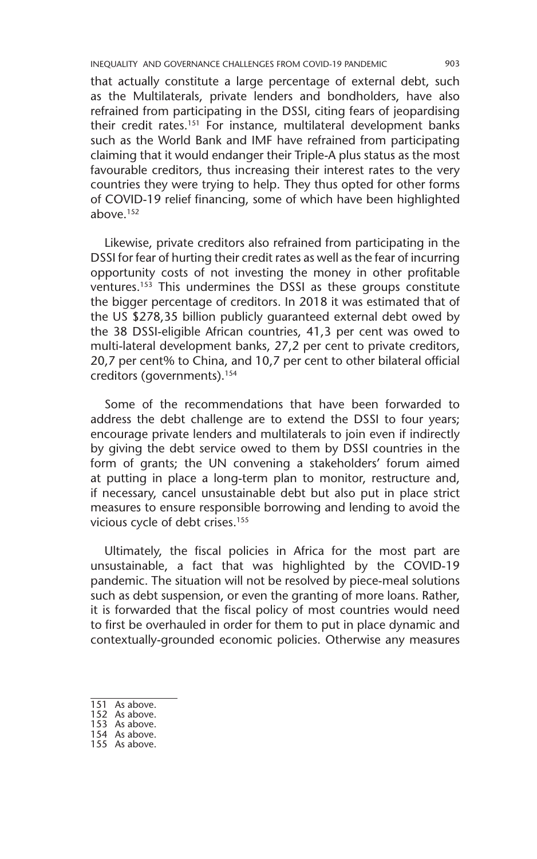INEQUALITY AND GOVERNANCE CHALLENGES FROM COVID-19 PANDEMIC 903

that actually constitute a large percentage of external debt, such as the Multilaterals, private lenders and bondholders, have also refrained from participating in the DSSI, citing fears of jeopardising their credit rates.151 For instance, multilateral development banks such as the World Bank and IMF have refrained from participating claiming that it would endanger their Triple-A plus status as the most favourable creditors, thus increasing their interest rates to the very countries they were trying to help. They thus opted for other forms of COVID-19 relief financing, some of which have been highlighted above.152

Likewise, private creditors also refrained from participating in the DSSI for fear of hurting their credit rates as well as the fear of incurring opportunity costs of not investing the money in other profitable ventures.153 This undermines the DSSI as these groups constitute the bigger percentage of creditors. In 2018 it was estimated that of the US \$278,35 billion publicly guaranteed external debt owed by the 38 DSSI-eligible African countries, 41,3 per cent was owed to multi-lateral development banks, 27,2 per cent to private creditors, 20,7 per cent% to China, and 10,7 per cent to other bilateral official creditors (governments).154

Some of the recommendations that have been forwarded to address the debt challenge are to extend the DSSI to four years; encourage private lenders and multilaterals to join even if indirectly by giving the debt service owed to them by DSSI countries in the form of grants; the UN convening a stakeholders' forum aimed at putting in place a long-term plan to monitor, restructure and, if necessary, cancel unsustainable debt but also put in place strict measures to ensure responsible borrowing and lending to avoid the vicious cycle of debt crises.155

Ultimately, the fiscal policies in Africa for the most part are unsustainable, a fact that was highlighted by the COVID-19 pandemic. The situation will not be resolved by piece-meal solutions such as debt suspension, or even the granting of more loans. Rather, it is forwarded that the fiscal policy of most countries would need to first be overhauled in order for them to put in place dynamic and contextually-grounded economic policies. Otherwise any measures

- 151 As above.
- 152 As above.
- 153 As above.
- 154 As above.
- 155 As above.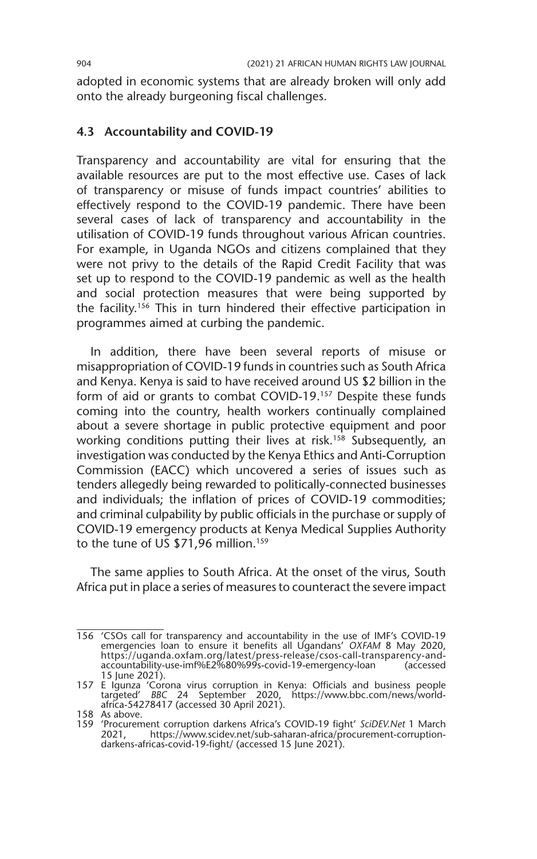adopted in economic systems that are already broken will only add onto the already burgeoning fiscal challenges.

#### **4.3 Accountability and COVID-19**

Transparency and accountability are vital for ensuring that the available resources are put to the most effective use. Cases of lack of transparency or misuse of funds impact countries' abilities to effectively respond to the COVID-19 pandemic. There have been several cases of lack of transparency and accountability in the utilisation of COVID-19 funds throughout various African countries. For example, in Uganda NGOs and citizens complained that they were not privy to the details of the Rapid Credit Facility that was set up to respond to the COVID-19 pandemic as well as the health and social protection measures that were being supported by the facility.156 This in turn hindered their effective participation in programmes aimed at curbing the pandemic.

In addition, there have been several reports of misuse or misappropriation of COVID-19 funds in countries such as South Africa and Kenya. Kenya is said to have received around US \$2 billion in the form of aid or grants to combat COVID-19.<sup>157</sup> Despite these funds coming into the country, health workers continually complained about a severe shortage in public protective equipment and poor working conditions putting their lives at risk.<sup>158</sup> Subsequently, an investigation was conducted by the Kenya Ethics and Anti-Corruption Commission (EACC) which uncovered a series of issues such as tenders allegedly being rewarded to politically-connected businesses and individuals; the inflation of prices of COVID-19 commodities; and criminal culpability by public officials in the purchase or supply of COVID-19 emergency products at Kenya Medical Supplies Authority to the tune of US \$71,96 million.<sup>159</sup>

The same applies to South Africa. At the onset of the virus, South Africa put in place a series of measures to counteract the severe impact

<sup>156</sup> 'CSOs call for transparency and accountability in the use of IMF's COVID-19 emergencies loan to ensure it benefits all Ugandans' *OXFAM* 8 May 2020, https://uganda.oxfam.org/latest/press-release/csos-call-transparency-andaccountability-use-imf%E2%80%99s-covid-19-emergency-loan (accessed 15 June 2021).

<sup>157</sup> E Igunza 'Corona virus corruption in Kenya: Officials and business people targeted' *BBC* 24 September 2020, https://www.bbc.com/news/world-africa-54278417 (accessed 30 April 2021).

<sup>158</sup> As above.

<sup>159</sup> 'Procurement corruption darkens Africa's COVID-19 fight' *SciDEV.Net* 1 March 2021, https://www.scidev.net/sub-saharan-africa/procurement-corruptiondarkens-africas-covid-19-fight/ (accessed 15 June 2021).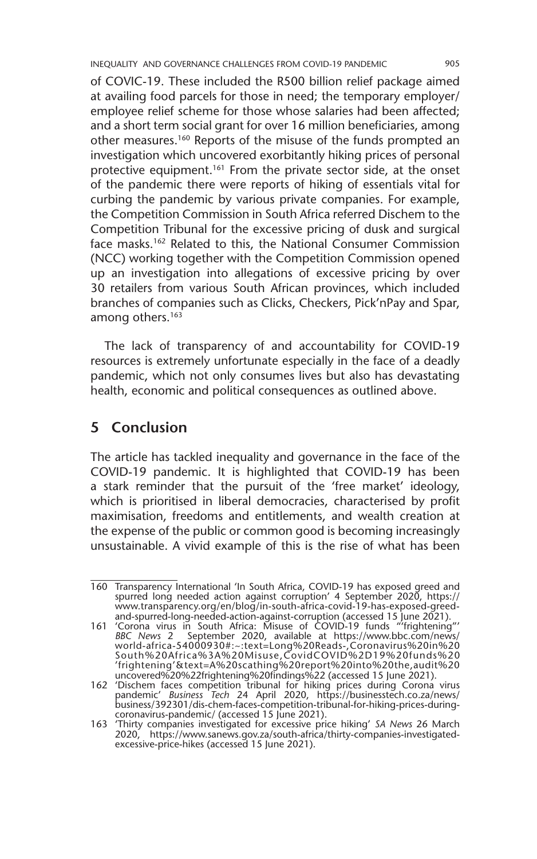INEQUALITY AND GOVERNANCE CHALLENGES FROM COVID-19 PANDEMIC 905

of COVIC-19. These included the R500 billion relief package aimed at availing food parcels for those in need; the temporary employer/ employee relief scheme for those whose salaries had been affected; and a short term social grant for over 16 million beneficiaries, among other measures.160 Reports of the misuse of the funds prompted an investigation which uncovered exorbitantly hiking prices of personal protective equipment.<sup>161</sup> From the private sector side, at the onset of the pandemic there were reports of hiking of essentials vital for curbing the pandemic by various private companies. For example, the Competition Commission in South Africa referred Dischem to the Competition Tribunal for the excessive pricing of dusk and surgical face masks.162 Related to this, the National Consumer Commission (NCC) working together with the Competition Commission opened up an investigation into allegations of excessive pricing by over 30 retailers from various South African provinces, which included branches of companies such as Clicks, Checkers, Pick'nPay and Spar, among others.<sup>163</sup>

The lack of transparency of and accountability for COVID-19 resources is extremely unfortunate especially in the face of a deadly pandemic, which not only consumes lives but also has devastating health, economic and political consequences as outlined above.

### **5 Conclusion**

The article has tackled inequality and governance in the face of the COVID-19 pandemic. It is highlighted that COVID-19 has been a stark reminder that the pursuit of the 'free market' ideology, which is prioritised in liberal democracies, characterised by profit maximisation, freedoms and entitlements, and wealth creation at the expense of the public or common good is becoming increasingly unsustainable. A vivid example of this is the rise of what has been

<sup>160</sup> Transparency International 'In South Africa, COVID-19 has exposed greed and spurred long needed action against corruption' 4 September 2020, https:// www.transparency.org/en/blog/in-south-africa-covid-19-has-exposed-greedand-spurred-long-needed-action-against-corruption (accessed 15 June 2021).

<sup>161</sup> 'Corona virus in South Africa: Misuse of COVID-19 funds "'frightening"' *BBC News* 2 September 2020, available at https://www.bbc.com/news/ world-africa-54000930#:~:text=Long%20Reads-,Coronavirus%20in%20 South%20Africa%3A%20Misuse,CovidCOVID%2D19%20funds%20 'frightening'&text=A%20scathing%20report%20into%20the,audit%20 uncovered%20%22frightening%20findings%22 (accessed 15 June 2021).

<sup>162</sup> 'Dischem faces competition tribunal for hiking prices during Corona virus pandemic' *Business Tech 2*4 April 2020, https://businesstech.co.za/news/<br>business/392301/dis-chem-faces-competition-tribunal-for-hiking-prices-during-<br>coronavirus-pandemic/ (accessed 15 June 2021).

<sup>163</sup> 'Thirty companies investigated for excessive price hiking' *SA News* 26 March 2020, https://www.sanews.gov.za/south-africa/thirty-companies-investigatedexcessive-price-hikes (accessed 15 June 2021).